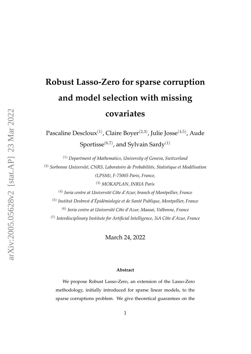# **Robust Lasso-Zero for sparse corruption and model selection with missing covariates**

Pascaline Descloux<sup>(1)</sup>, Claire Boyer<sup>(2,3)</sup>, Julie Josse<sup>(4,5)</sup>, Aude Sportisse<sup>(6,7)</sup>, and Sylvain Sardy<sup>(1)</sup>

(1) *Department of Mathematics, University of Geneva, Switzerland*

<sup>(2)</sup> Sorbonne Université, CNRS, Laboratoire de Probabilités, Statistique et Modélisation *(LPSM), F-75005 Paris, France,*

(3) *MOKAPLAN, INRIA Paris*

<sup>(4)</sup> *Inria centre at Université Côte d'Azur, branch of Montpellier, France* 

(5) *Institut Desbrest d'Epid´emiologie et de Sant´e Publique, Montpellier, France ´*

<sup>(6)</sup> Inria centre at Université Côte d'Azur, Maasai, Valbonne, France

(7) *Interdisciplinary Institute for Artificial Intelligence, 3iA Cˆote d'Azur, France*

March 24, 2022

#### **Abstract**

We propose Robust Lasso-Zero, an extension of the Lasso-Zero methodology, initially introduced for sparse linear models, to the sparse corruptions problem. We give theoretical guarantees on the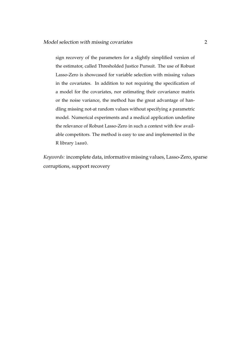sign recovery of the parameters for a slightly simplified version of the estimator, called Thresholded Justice Pursuit. The use of Robust Lasso-Zero is showcased for variable selection with missing values in the covariates. In addition to not requiring the specification of a model for the covariates, nor estimating their covariance matrix or the noise variance, the method has the great advantage of handling missing not-at random values without specifying a parametric model. Numerical experiments and a medical application underline the relevance of Robust Lasso-Zero in such a context with few available competitors. The method is easy to use and implemented in the R library lass0.

*Keywords:* incomplete data, informative missing values, Lasso-Zero, sparse corruptions, support recovery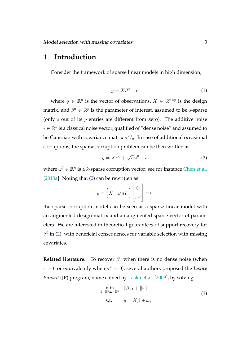### **1 Introduction**

<span id="page-2-1"></span>Consider the framework of sparse linear models in high dimension,

$$
y = X\beta^0 + \epsilon,\tag{1}
$$

where  $y \in \mathbb{R}^n$  is the vector of observations,  $X \in \mathbb{R}^{n \times p}$  is the design matrix, and  $\beta^0 \in \mathbb{R}^p$  is the parameter of interest, assumed to be *s*-sparse (only  $s$  out of its  $p$  entries are different from zero). The additive noise  $\epsilon \in \mathbb{R}^n$  is a classical noise vector, qualified of "dense noise" and assumed to be Gaussian with covariance matrix  $\sigma^2 I_n$ . In case of additional occasional corruptions, the sparse corruption problem can be then written as

<span id="page-2-0"></span>
$$
y = X\beta^{0} + \sqrt{n}\omega^{0} + \epsilon,
$$
 (2)

where  $\omega^0 \in \mathbb{R}^n$  is a k-sparse corruption vector; see for instance [Chen et al.](#page-29-0) [\[2013a\]](#page-29-0). Noting that [\(2\)](#page-2-0) can be rewritten as

$$
y = \begin{bmatrix} X & \sqrt{n}I_n \end{bmatrix} \begin{bmatrix} \beta^0 \\ \omega^0 \end{bmatrix} + \epsilon,
$$

the sparse corruption model can be seen as a sparse linear model with an augmented design matrix and an augmented sparse vector of parameters. We are interested in theoretical guarantees of support recovery for  $\beta^0$  in [\(2\)](#page-2-0), with beneficial consequences for variable selection with missing covariates.

**Related literature.** To recover  $\beta^0$  when there is no dense noise (when  $\epsilon = 0$  or equivalently when  $\sigma^2 = 0$ ), several authors proposed the *Justice Pursuit* (JP) program, name coined by [Laska et al.](#page-30-0) [\[2009\]](#page-30-0), by solving

$$
\min_{\beta \in \mathbb{R}^p, \omega \in \mathbb{R}^n} \quad \|\beta\|_1 + \|\omega\|_1
$$
\n
$$
\text{s.t.} \qquad y = X\beta + \omega,
$$
\n(3)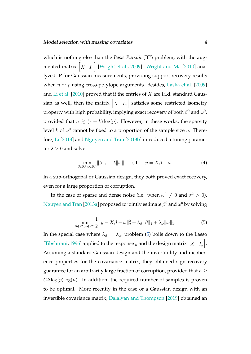which is nothing else than the *Basis Pursuit* (BP) problem, with the augmented matrix  $\begin{bmatrix} X & I_n \end{bmatrix}$  [\[Wright et al.,](#page-33-0) [2009\]](#page-33-0). [Wright and Ma](#page-33-1) [\[2010\]](#page-33-1) analyzed JP for Gaussian measurements, providing support recovery results when  $n \simeq p$  using cross-polytope arguments. Besides, [Laska et al.](#page-30-0) [\[2009\]](#page-30-0) and [Li et al.](#page-31-0) [\[2010\]](#page-31-0) proved that if the entries of  $X$  are i.i.d. standard Gaussian as well, then the matrix  $\begin{bmatrix} X & I_n \end{bmatrix}$  satisfies some restricted isometry property with high probability, implying exact recovery of both  $\beta^0$  and  $\omega^0$ , provided that  $n \geq (s + k) \log(p)$ . However, in these works, the sparsity level k of  $\omega^0$  cannot be fixed to a proportion of the sample size n. Therefore, [Li](#page-31-1) [\[2013\]](#page-31-1) and [Nguyen and Tran](#page-31-2) [\[2013b\]](#page-31-2) introduced a tuning parameter  $\lambda > 0$  and solve

$$
\min_{\beta \in \mathbb{R}^p, \omega \in \mathbb{R}^n} \|\beta\|_1 + \lambda \|\omega\|_1 \quad \text{s.t.} \quad y = X\beta + \omega. \tag{4}
$$

In a sub-orthogonal or Gaussian design, they both proved exact recovery, even for a large proportion of corruption.

<span id="page-3-0"></span>In the case of sparse and dense noise (i.e. when  $\omega^0 \neq 0$  and  $\sigma^2 > 0$ ), [Nguyen and Tran](#page-31-3) [\[2013a\]](#page-31-3) proposed to jointly estimate  $\beta^0$  and  $\omega^0$  by solving

$$
\min_{\beta \in \mathbb{R}^p, \omega \in \mathbb{R}^n} \frac{1}{2} \|y - X\beta - \omega\|_2^2 + \lambda_\beta \|\beta\|_1 + \lambda_\omega \|\omega\|_1. \tag{5}
$$

In the special case where  $\lambda_{\beta} = \lambda_{\omega}$ , problem [\(5\)](#page-3-0) boils down to the Lasso [\[Tibshirani,](#page-32-0) [1996\]](#page-32-0) applied to the response  $y$  and the design matrix  $\begin{bmatrix} X & I_n \end{bmatrix}$ . Assuming a standard Gaussian design and the invertibility and incoherence properties for the covariance matrix, they obtained sign recovery guarantee for an arbitrarily large fraction of corruption, provided that  $n \geq$  $C_k \log(p) \log(n)$ . In addition, the required number of samples is proven to be optimal. More recently in the case of a Gaussian design with an invertible covariance matrix, [Dalalyan and Thompson](#page-29-1) [\[2019\]](#page-29-1) obtained an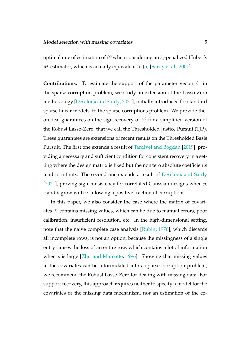optimal rate of estimation of  $\beta^0$  when considering an  $\ell_1$ -penalized Huber's M-estimator, which is actually equivalent to [\(5\)](#page-3-0) [\[Sardy et al.,](#page-32-1) [2001\]](#page-32-1).

**Contributions.** To estimate the support of the parameter vector  $\beta^0$  in the sparse corruption problem, we study an extension of the Lasso-Zero methodology [\[Descloux and Sardy,](#page-30-1) [2021\]](#page-30-1), initially introduced for standard sparse linear models, to the sparse corruptions problem. We provide theoretical guarantees on the sign recovery of  $\beta^0$  for a simplified version of the Robust Lasso-Zero, that we call the Thresholded Justice Pursuit (TJP). These guarantees are extensions of recent results on the Thresholded Basis Pursuit. The first one extends a result of [Tardivel and Bogdan](#page-32-2) [\[2019\]](#page-32-2), providing a necessary and sufficient condition for consistent recovery in a setting where the design matrix is fixed but the nonzero absolute coefficients tend to infinity. The second one extends a result of [Descloux and Sardy](#page-30-1) [\[2021\]](#page-30-1), proving sign consistency for correlated Gaussian designs when  $p$ , s and  $k$  grow with  $n$ , allowing a positive fraction of corruptions.

In this paper, we also consider the case where the matrix of covariates X contains missing values, which can be due to manual errors, poor calibration, insufficient resolution, etc. In the high-dimensional setting, note that the naive complete case analysis [\[Rubin,](#page-32-3) [1976\]](#page-32-3), which discards all incomplete rows, is not an option, because the missingness of a single entry causes the loss of an entire row, which contains a lot of information when  $p$  is large [\[Zhu and Marcotte,](#page-33-2) [1996\]](#page-33-2). Showing that missing values in the covariates can be reformulated into a sparse corruption problem, we recommend the Robust Lasso-Zero for dealing with missing data. For support recovery, this approach requires neither to specify a model for the covariates or the missing data mechanism, nor an estimation of the co-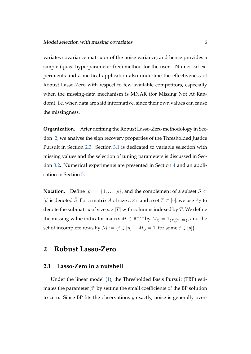variates covariance matrix or of the noise variance, and hence provides a simple (quasi hyperparameter-free) method for the user . Numerical experiments and a medical application also underline the effectiveness of Robust Lasso-Zero with respect to few available competitors, especially when the missing-data mechanism is MNAR (for Missing Not At Random), i.e. when data are said informative, since their own values can cause the missingness.

**Organization.** After defining the Robust Lasso-Zero methodology in Section [2,](#page-5-0) we analyse the sign recovery properties of the Thresholded Justice Pursuit in Section [2.3.](#page-8-0) Section [3.1](#page-14-0) is dedicated to variable selection with missing values and the selection of tuning parameters is discussed in Section [3.2.](#page-16-0) Numerical experiments are presented in Section [4](#page-17-0) and an application in Section [5.](#page-26-0)

**Notation.** Define  $[p] := \{1, \ldots, p\}$ , and the complement of a subset  $S \subset$ [p] is denoted  $\overline{S}$ . For a matrix A of size  $u \times v$  and a set  $T \subset [v]$ , we use  $A_T$  to denote the submatrix of size  $n \times |T|$  with columns indexed by T. We define the missing value indicator matrix  $M \in \mathbb{R}^{n \times p}$  by  $M_{ij} = \mathbf{1}_{\{X^{\text{NA}}_{ij} = \text{NA}\}}$ , and the set of incomplete rows by  $M := \{i \in [n] \mid M_{ij} = 1 \text{ for some } j \in [p]\}.$ 

### <span id="page-5-0"></span>**2 Robust Lasso-Zero**

#### **2.1 Lasso-Zero in a nutshell**

Under the linear model [\(1\)](#page-2-1), the Thresholded Basis Pursuit (TBP) estimates the parameter  $\beta^0$  by setting the small coefficients of the BP solution to zero. Since BP fits the observations  $y$  exactly, noise is generally over-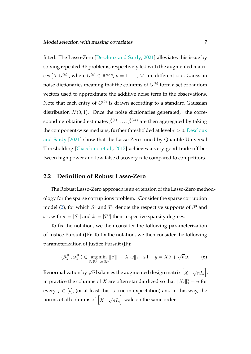fitted. The Lasso-Zero [\[Descloux and Sardy,](#page-30-1) [2021\]](#page-30-1) alleviates this issue by solving repeated BP problems, respectively fed with the augmented matrices  $[X|G^{(k)}]$ , where  $G^{(k)} \in \mathbb{R}^{n \times n}$ ,  $k = 1, \ldots, M$ , are different i.i.d. Gaussian noise dictionaries meaning that the columns of  $G^{(k)}$  form a set of random vectors used to approximate the additive noise term in the observations. Note that each entry of  $G^{(k)}$  is drawn according to a standard Gaussian distribution  $\mathcal{N}(0, 1)$ . Once the noise dictionaries generated, the corresponding obtained estimates  $\hat{\beta}^{(1)},\ldots,\hat{\beta}^{(M)}$  are then aggregated by taking the component-wise medians, further thresholded at level  $\tau > 0$ . [Descloux](#page-30-1) [and Sardy](#page-30-1) [\[2021\]](#page-30-1) show that the Lasso-Zero tuned by Quantile Universal Thresholding [\[Giacobino et al.,](#page-30-2) [2017\]](#page-30-2) achieves a very good trade-off between high power and low false discovery rate compared to competitors.

#### <span id="page-6-1"></span>**2.2 Definition of Robust Lasso-Zero**

The Robust Lasso-Zero approach is an extension of the Lasso-Zero methodology for the sparse corruptions problem. Consider the sparse corruption model [\(2\)](#page-2-0), for which  $S^0$  and  $T^0$  denote the respective supports of  $\beta^0$  and  $\omega^0$ , with  $s:=|S^0|$  and  $k:=|T^0|$  their respective sparsity degrees.

To fix the notation, we then consider the following parameterization of Justice Pursuit (JP): To fix the notation, we then consider the following parameterization of Justice Pursuit (JP):

<span id="page-6-0"></span>
$$
(\hat{\beta}_{\lambda}^{\text{JP}}, \hat{\omega}_{\lambda}^{\text{JP}}) \in \underset{\beta \in \mathbb{R}^p, \ \omega \in \mathbb{R}^n}{\arg \min} ||\beta||_1 + \lambda ||\omega||_1 \quad \text{s.t.} \quad y = X\beta + \sqrt{n}\omega. \tag{6}
$$

Renormalization by  $\sqrt{n}$  balances the augmented design matrix  $\left\lceil X \right\rceil$ √  $\overline{ n}I_{n} \Big]$ : in practice the columns of  $X$  are often standardized so that  $\|X_j\|_2^2 = n$  for every  $j \in [p]$ , (or at least this is true in expectation) and in this way, the norms of all columns of  $\bigl[ \begin{smallmatrix} X \end{smallmatrix} \bigr]$ √  $\overline{n}I_n\Bigr]$  scale on the same order.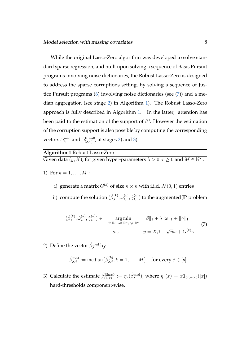While the original Lasso-Zero algorithm was developed to solve standard sparse regression, and built upon solving a sequence of Basis Pursuit programs involving noise dictionaries, the Robust Lasso-Zero is designed to address the sparse corruptions setting, by solving a sequence of Justice Pursuit programs [\(6\)](#page-6-0) involving noise dictionaries (see [\(7\)](#page-7-0)) and a median aggregation (see stage [2\)](#page-7-1) in Algorithm [1\)](#page-7-2). The Robust Lasso-Zero approach is fully described in Algorithm [1.](#page-7-2) In the latter, attention has been paid to the estimation of the support of  $\beta^0$ . However the estimation of the corruption support is also possible by computing the corresponding vectors  $\hat{\omega}_\lambda^{\mathrm{med}}$  and  $\hat{\omega}_{(\lambda,\tau)}^{\mathrm{Class0}}$ , at stages [2\)](#page-7-1) and [3\)](#page-7-3).

#### <span id="page-7-2"></span>**Algorithm 1** Robust Lasso-Zero

Given data  $(y, X)$ , for given hyper-parameters  $\lambda > 0, \tau \geq 0$  and  $M \in \mathbb{N}^*$ :

- 1) For  $k = 1, ..., M$ :
	- i) generate a matrix  $G^{(k)}$  of size  $n \times n$  with i.i.d.  $\mathcal{N}(0, 1)$  entries
	- ii) compute the solution  $(\hat{\beta}_{\lambda}^{(k)})$  $\overset{(k)}{\lambda}, \overset{\sim}{\omega}_{\lambda}^{(k)}$  $\hat{\gamma}_{\lambda}^{(k)}, \hat{\gamma}_{\lambda}^{(k)}$  $\chi^{(k)}$ ) to the augmented JP problem

<span id="page-7-0"></span>
$$
(\hat{\beta}_{\lambda}^{(k)}, \hat{\omega}_{\lambda}^{(k)}, \hat{\gamma}_{\lambda}^{(k)}) \in \operatorname*{arg\,min}_{\beta \in \mathbb{R}^{p}, \ \omega \in \mathbb{R}^{n}, \ \gamma \in \mathbb{R}^{n}} \quad \|\beta\|_{1} + \lambda \|\omega\|_{1} + \|\gamma\|_{1}
$$
\n
$$
\text{s.t.} \qquad y = X\beta + \sqrt{n}\omega + G^{(k)}\gamma. \tag{7}
$$

<span id="page-7-1"></span>2) Define the vector  $\hat{\beta}_{\lambda}^{\text{med}}$  by

$$
\hat{\beta}_{\lambda,j}^{\text{med}} := \text{median}\{\hat{\beta}_{\lambda,j}^{(k)}, k = 1, \dots, M\} \quad \text{for every } j \in [p].
$$

<span id="page-7-3"></span>3) Calculate the estimate  $\hat{\beta}_{(\lambda,\tau)}^{\text{Rlass0}} := \eta_\tau(\hat{\beta}_{\lambda}^{\text{med}})$ , where  $\eta_\tau(x) = x\mathbf{1}_{(\tau,+\infty)}(|x|)$ hard-thresholds component-wise.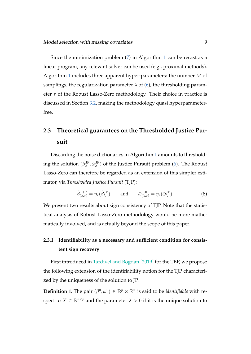Since the minimization problem [\(7\)](#page-7-0) in Algorithm [1](#page-7-2) can be recast as a linear program, any relevant solver can be used (e.g., proximal methods). Algorithm [1](#page-7-2) includes three apparent hyper-parameters: the number  $M$  of samplings, the regularization parameter  $\lambda$  of [\(6\)](#page-6-0), the thresholding parameter  $\tau$  of the Robust Lasso-Zero methodology. Their choice in practice is discussed in Section [3.2,](#page-16-0) making the methodology quasi hyperparameterfree.

## <span id="page-8-0"></span>**2.3 Theoretical guarantees on the Thresholded Justice Pursuit**

Discarding the noise dictionaries in Algorithm [1](#page-7-2) amounts to thresholding the solution  $(\hat{\beta}_\lambda^{\rm JP},\hat{\omega}_\lambda^{\rm JP})$  of the Justice Pursuit problem [\(6\)](#page-6-0). The Robust Lasso-Zero can therefore be regarded as an extension of this simpler estimator, via *Thresholded Justice Pursuit* (TJP):

$$
\hat{\beta}_{(\lambda,\tau)}^{\text{TJP}} = \eta_{\tau}(\hat{\beta}_{\lambda}^{\text{JP}}) \quad \text{and} \quad \hat{\omega}_{(\lambda,\tau)}^{\text{TJP}} = \eta_{\tau}(\hat{\omega}_{\lambda}^{\text{JP}}). \tag{8}
$$

We present two results about sign consistency of TJP. Note that the statistical analysis of Robust Lasso-Zero methodology would be more mathematically involved, and is actually beyond the scope of this paper.

### **2.3.1 Identifiability as a necessary and sufficient condition for consistent sign recovery**

First introduced in [Tardivel and Bogdan](#page-32-2) [\[2019\]](#page-32-2) for the TBP, we propose the following extension of the identifiability notion for the TJP characterized by the uniqueness of the solution to JP.

**Definition 1.** The pair  $(\beta^0, \omega^0) \in \mathbb{R}^p \times \mathbb{R}^n$  is said to be *identifiable* with respect to  $X \in \mathbb{R}^{n \times p}$  and the parameter  $\lambda > 0$  if it is the unique solution to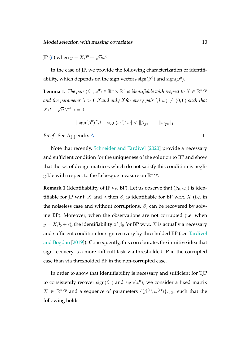JP [\(6\)](#page-6-0) when  $y = X\beta^0 + \sqrt{n}\omega^0$ .

In the case of JP, we provide the following characterization of identifiability, which depends on the sign vectors  $\text{sign}(\beta^0)$  and  $\text{sign}(\omega^0).$ 

<span id="page-9-0"></span>**Lemma 1.** *The pair*  $(\beta^0, \omega^0) \in \mathbb{R}^p \times \mathbb{R}^n$  *is identifiable with respect to*  $X \in \mathbb{R}^{n \times p}$ *and the parameter*  $\lambda > 0$  *if and only if for every pair*  $(\beta, \omega) \neq (0, 0)$  *such that*  $X\beta +$  $\sqrt{n}\lambda^{-1}\omega=0,$ 

$$
|\operatorname{sign}(\beta^0)^T \beta + \operatorname{sign}(\omega^0)^T \omega| < ||\beta_{\overline{S^0}}||_1 + ||\omega_{\overline{T^0}}||_1.
$$

*Proof.* See Appendix [A.](#page-33-3)

Note that recently, [Schneider and Tardivel](#page-32-4) [\[2020\]](#page-32-4) provide a necessary and sufficient condition for the uniqueness of the solution to BP and show that the set of design matrices which do not satisfy this condition is negligible with respect to the Lebesgue measure on  $\mathbb{R}^{n\times p}.$ 

**Remark 1** (Identifiability of JP vs. BP). Let us observe that  $(\beta_0, \omega_0)$  is identifiable for JP w.r.t. X and  $\lambda$  then  $\beta_0$  is identifiable for BP w.r.t. X (i.e. in the noiseless case and without corruptions,  $\beta_0$  can be recovered by solving BP). Moreover, when the observations are not corrupted (i.e. when  $y = X\beta_0 + \epsilon$ , the identifiability of  $\beta_0$  for BP w.r.t. X is actually a necessary and sufficient condition for sign recovery by thresholded BP (see [Tardivel](#page-32-2) [and Bogdan](#page-32-2) [\[2019\]](#page-32-2)). Consequently, this corroborates the intuitive idea that sign recovery is a more difficult task via thresholded JP in the corrupted case than via thresholded BP in the non-corrupted case.

In order to show that identifiability is necessary and sufficient for TJP to consistently recover  $\text{sign}(\beta^0)$  and  $\text{sign}(\omega^0)$ , we consider a fixed matrix  $X \in \mathbb{R}^{n \times p}$  and a sequence of parameters  $\{(\beta^{(r)}, \omega^{(r)})\}_{r \in \mathbb{N}^*}$  such that the following holds:

 $\Box$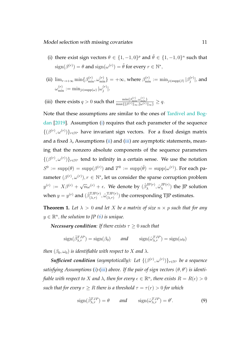- <span id="page-10-0"></span>(i) there exist sign vectors  $\theta \in \{1, -1, 0\}^p$  and  $\tilde{\theta} \in \{1, -1, 0\}^n$  such that  $\operatorname{sign}(\beta^{(r)}) = \theta$  and  $\operatorname{sign}(\omega^{(r)}) = \tilde{\theta}$  for every  $r \in \mathbb{N}^*,$
- <span id="page-10-1"></span>(ii)  $\lim_{r\to+\infty}\min\{\beta_{\min}^{(r)},\omega_{\min}^{(r)}\} = +\infty$ , where  $\beta_{\min}^{(r)} := \min_{j\in\text{supp}(\beta)}|\beta_j^{(r)}|$  $\beta_j^{(r)}|,$  and  $\omega^{(r)}_{\min}:=\min_{j\in \mathrm{supp}(\omega)} |\omega^{(r)}_j|$  $\binom{r}{j}$ .

<span id="page-10-2"></span>(iii) there exists 
$$
q > 0
$$
 such that 
$$
\frac{\min\{\beta_{\min}^{(r)}, \omega_{\min}^{(r)}\}}{\max\{\|\beta^{(r)}\|_{\infty}, \|\omega^{(r)}\|_{\infty}\}} \geq q.
$$

Note that these assumptions are similar to the ones of [Tardivel and Bog](#page-32-2)[dan](#page-32-2) [\[2019\]](#page-32-2). Assumption [\(i\)](#page-10-0) requires that each parameter of the sequence  $\{(\beta^{(r)}, \omega^{(r)})\}_{r\in\mathbb{N}^*}$  have invariant sign vectors. For a fixed design matrix and a fixed  $\lambda$ , Assumptions [\(ii\)](#page-10-1) and [\(iii\)](#page-10-2) are asymptotic statements, meaning that the nonzero absolute components of the sequence parameters  $\{(\beta^{(r)}, \omega^{(r)})\}_{r\in\mathbb{N}^*}$  tend to infinity in a certain sense. We use the notation  $S^0 := \text{supp}(\theta) = \text{supp}(\beta^{(r)})$  and  $T^0 := \text{supp}(\tilde{\theta}) = \text{supp}(\omega^{(r)})$ . For each parameter  $(\beta^{(r)}, \omega^{(r)}), r \in \mathbb{N}^*$ , let us consider the sparse corruption problem  $y^{(r)} := X\beta^{(r)} + \sqrt{n}\omega^{(r)} + \epsilon$ . We denote by  $(\hat{\beta}_{\lambda}^{\text{JP}(r)})$  $\hat{\omega}_{\lambda}^{\mathrm{JP}(r)},\hat{\omega}_{\lambda}^{\mathrm{JP}(r)}$  $\lambda^{JP(r)}$  the JP solution when  $y = y^{(r)}$  and  $(\hat{\beta}_{(\lambda,\tau)}^{\text{TJP}(r)}, \hat{\omega}_{(\lambda,\tau)}^{\text{TJP}(r)})$  $\binom{1}{(\lambda,\tau)}$  the corresponding TJP estimates.

<span id="page-10-3"></span>**Theorem 1.** Let  $\lambda > 0$  and let X be a matrix of size  $n \times p$  such that for any  $y \in \mathbb{R}^n$ , the solution to JP [\(6\)](#page-6-0) is unique.

*Necessary condition: If there exists*  $\tau > 0$  *such that* 

$$
\text{sign}(\hat{\beta}_{\lambda,\tau}^{TJP}) = \text{sign}(\beta_0) \qquad \text{and} \qquad \text{sign}(\hat{\omega}_{\lambda,\tau}^{TJP}) = \text{sign}(\omega_0)
$$

*then*  $(\beta_0, \omega_0)$  *is identifiable with respect to* X *and*  $\lambda$ *.* 

**Sufficient condition** (asymptotically): Let  $\{(\beta^{(r)}, \omega^{(r)})\}_{r \in \mathbb{N}^*}$  be a sequence  $satisfying Assumptions (i)-(iii) above. If the pair of sign vectors  $(\theta, \theta')$  is identi satisfying Assumptions (i)-(iii) above. If the pair of sign vectors  $(\theta, \theta')$  is identi satisfying Assumptions (i)-(iii) above. If the pair of sign vectors  $(\theta, \theta')$  is identi satisfying Assumptions (i)-(iii) above. If the pair of sign vectors  $(\theta, \theta')$  is identi satisfying Assumptions (i)-(iii) above. If the pair of sign vectors  $(\theta, \theta')$  is identi$ fiable with respect to  $X$  and  $\lambda$ , then for every  $\epsilon \in \mathbb{R}^n$ , there exists  $R=R(\epsilon)>0$ *such that for every*  $r > R$  *there is a threshold*  $\tau = \tau(r) > 0$  *for which* 

$$
\text{sign}(\hat{\beta}_{\lambda,\tau}^{TJP}) = \theta \qquad \text{and} \qquad \text{sign}(\hat{\omega}_{\lambda,\tau}^{TJP}) = \theta'. \tag{9}
$$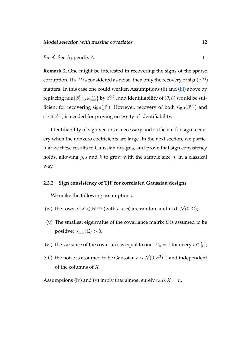#### *Proof.* See Appendix [A.](#page-33-3)

**Remark 2.** One might be interested in recovering the signs of the sparse corruption. If  $\omega^{(r)}$  is considered as noise, then only the recovery of  $\operatorname{sign}(\beta^{(r)})$ matters. In this case one could weaken Assumptions [\(ii\)](#page-10-1) and [\(iii\)](#page-10-2) above by replacing  $\min\{\beta^{(r)}_{\min},\omega^{(r)}_{\min}\}$  by  $\beta^{(r)}_{\min}$ , and identifiability of  $(\theta,\tilde\theta)$  would be sufficient for recovering  $\text{sign}(\beta^0)$ . However, recovery of both  $\text{sign}(\beta^{(r)})$  and  $\operatorname{sign}(\omega^{(r)})$  is needed for proving necessity of identifiability.

Identifiability of sign vectors is necessary and sufficient for sign recovery when the nonzero coefficients are large. In the next section, we particularize these results to Gaussian designs, and prove that sign consistency holds, allowing  $p, s$  and  $k$  to grow with the sample size  $n$ , in a classical way.

#### **2.3.2 Sign consistency of TJP for correlated Gaussian designs**

We make the following assumptions:

- <span id="page-11-0"></span>(iv) the rows of  $X \in \mathbb{R}^{n \times p}$  (with  $n < p$ ) are random and i.i.d.  $\mathcal{N}(0, \Sigma)$ ;
- <span id="page-11-1"></span>(v) The smallest eigenvalue of the covariance matrix  $\Sigma$  is assumed to be positive:  $\lambda_{\min}(\Sigma) > 0$ ,
- <span id="page-11-3"></span>(vi) the variance of the covariates is equal to one:  $\Sigma_{ii} = 1$  for every  $i \in [p]$ ;
- <span id="page-11-2"></span>(vii) the noise is assumed to be Gaussian  $\epsilon \sim \mathcal{N}(0, \sigma^2 I_n)$  and independent of the columns of X.

Assumptions [\(iv\)](#page-11-0) and [\(v\)](#page-11-1) imply that almost surely rank  $X = n$ .

 $\Box$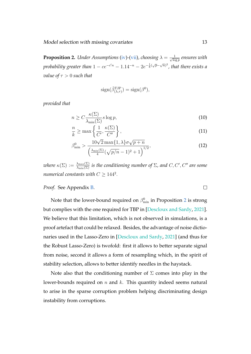<span id="page-12-0"></span>**Proposition 2.** *Under Assumptions* [\(iv\)](#page-11-0)-[\(vii\)](#page-11-2), *choosing*  $\lambda = \frac{1}{\sqrt{2}}$  $\frac{1}{\log p}$  ensures with  $\emph{probability greater than } 1 - ce^{-c'n} - 1.14^{-n} - 2e^{-\frac{1}{8}(\sqrt{p}-\sqrt{n})^2},$  that there exists a *value of*  $\tau > 0$  *such that* 

$$
sign(\hat{\beta}_{(\lambda,\tau)}^{TJP}) = sign(\beta^0),
$$

*provided that*

$$
n \ge C \frac{\kappa(\Sigma)}{\lambda_{\min}(\Sigma)} s \log p,\tag{10}
$$

$$
\frac{n}{k} \ge \max\left\{\frac{1}{C'}, \frac{\kappa(\Sigma)}{C''}\right\},\tag{11}
$$

$$
\beta_{\min}^0 > \frac{10\sqrt{2}\max\{1,\lambda\}\sigma\sqrt{p+n}}{\left(\frac{\lambda_{\min}(\Sigma)}{4}(\sqrt{p/n}-1)^2+1\right)^{1/2}},\tag{12}
$$

 $\omega$ here  $\kappa(\Sigma) := \frac{\lambda_{\max}(\Sigma)}{\lambda_{\min}(\Sigma)}$  is the conditioning number of  $\Sigma$ , and  $C, C', C''$  are some *numerical constants with*  $C \ge 144^2$ *.* 

*Proof.* See Appendix [B.](#page-39-0)

Note that the lower-bound required on  $\beta_{\min}^0$  in Proposition [2](#page-12-0) is strong but complies with the one required for TBP in [\[Descloux and Sardy,](#page-30-1) [2021\]](#page-30-1). We believe that this limitation, which is not observed in simulations, is a proof artefact that could be relaxed. Besides, the advantage of noise dictionaries used in the Lasso-Zero in [\[Descloux and Sardy,](#page-30-1) [2021\]](#page-30-1) (and thus for the Robust Lasso-Zero) is twofold: first it allows to better separate signal from noise, second it allows a form of resampling which, in the spirit of stability selection, allows to better identify needles in the haystack.

Note also that the conditioning number of  $\Sigma$  comes into play in the lower-bounds required on  $n$  and  $k$ . This quantity indeed seems natural to arise in the sparse corruption problem helping discriminating design instability from corruptions.

<span id="page-12-1"></span> $\Box$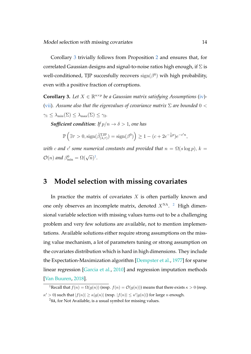Corollary [3](#page-13-0) trivially follows from Proposition [2](#page-12-0) and ensures that, for correlated Gaussian designs and signal-to-noise ratios high enough, if  $\Sigma$  is well-conditioned, TJP succesfully recovers  $sign(\beta^0)$  wih high probability, even with a positive fraction of corruptions.

<span id="page-13-0"></span>**Corollary 3.** Let  $X \in \mathbb{R}^{n \times p}$  be a Gaussian matrix satisfying Assumptions [\(iv\)](#page-11-0)-[\(vii\)](#page-11-2)*. Assume also that the eigenvalues of covariance matrix* Σ *are bounded* 0 <  $\gamma_1 \leq \lambda_{\min}(\Sigma) \leq \lambda_{\max}(\Sigma) \leq \gamma_2.$ 

*Sufficient condition: If*  $p/n \rightarrow \delta > 1$ *, one has* 

$$
\mathbb{P}\left(\exists \tau > 0, \text{sign}(\hat{\beta}^{\text{TJP}}_{(\lambda,\tau)}) = \text{sign}(\beta^0)\right) \ge 1 - (c + 2e^{-\frac{1}{8}p})e^{-c'n},
$$

with  $c$  and  $c'$  some numerical constants and provided that  $n = \Omega(s \log p), \, k = 0$  $\mathcal{O}(n)$  and  $\beta_{\min}^0 = \Omega(\sqrt{n})^1$  $\beta_{\min}^0 = \Omega(\sqrt{n})^1$ .

### **3 Model selection with missing covariates**

In practice the matrix of covariates  $X$  is often partially known and one only observes an incomplete matrix, denoted  $X^{NA}$ . <sup>[2](#page-13-2)</sup> High dimensional variable selection with missing values turns out to be a challenging problem and very few solutions are available, not to mention implementations. Available solutions either require strong assumptions on the missing value mechanism, a lot of parameters tuning or strong assumption on the covariates distribution which is hard in high dimensions. They include the Expectation-Maximization algorithm [\[Dempster et al.,](#page-29-2) [1977\]](#page-29-2) for sparse linear regression [\[Garcia et al.,](#page-30-3) [2010\]](#page-30-3) and regression imputation methods [\[Van Buuren,](#page-32-5) [2018\]](#page-32-5).

<span id="page-13-1"></span><sup>&</sup>lt;sup>1</sup>Recall that  $f(n) = \Omega(g(n))$  (resp.  $f(n) = \mathcal{O}(g(n))$ ) means that there exists  $\kappa > 0$  (resp.  $\kappa' > 0$ ) such that  $|f(n)| \ge \kappa |g(n)|$  (resp.  $|f(n)| \le \kappa' |g(n)|$ ) for large n enough.

<span id="page-13-2"></span> $2$ NA, for Not Available, is a usual symbol for missing values.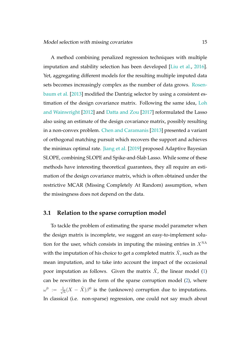A method combining penalized regression techniques with multiple imputation and stability selection has been developed [\[Liu et al.,](#page-31-4) [2016\]](#page-31-4). Yet, aggregating different models for the resulting multiple imputed data sets becomes increasingly complex as the number of data grows. [Rosen](#page-32-6)[baum et al.](#page-32-6) [\[2013\]](#page-32-6) modified the Dantzig selector by using a consistent estimation of the design covariance matrix. Following the same idea, [Loh](#page-31-5) [and Wainwright](#page-31-5) [\[2012\]](#page-31-5) and [Datta and Zou](#page-29-3) [\[2017\]](#page-29-3) reformulated the Lasso also using an estimate of the design covariance matrix, possibly resulting in a non-convex problem. [Chen and Caramanis](#page-29-4) [\[2013\]](#page-29-4) presented a variant of orthogonal matching pursuit which recovers the support and achieves the minimax optimal rate. [Jiang et al.](#page-30-4) [\[2019\]](#page-30-4) proposed Adaptive Bayesian SLOPE, combining SLOPE and Spike-and-Slab Lasso. While some of these methods have interesting theoretical guarantees, they all require an estimation of the design covariance matrix, which is often obtained under the restrictive MCAR (Missing Completely At Random) assumption, when the missingness does not depend on the data.

#### <span id="page-14-0"></span>**3.1 Relation to the sparse corruption model**

To tackle the problem of estimating the sparse model parameter when the design matrix is incomplete, we suggest an easy-to-implement solution for the user, which consists in imputing the missing entries in  $X<sup>NA</sup>$ with the imputation of his choice to get a completed matrix  $\tilde{X}$ , such as the mean imputation, and to take into account the impact of the occasional poor imputation as follows. Given the matrix  $\tilde{X}$ , the linear model [\(1\)](#page-2-1) can be rewritten in the form of the sparse corruption model [\(2\)](#page-2-0), where  $\omega^0$   $:= \frac{1}{\sqrt{2}}$  $\frac{1}{\sqrt{n}}(X-\tilde{X})\beta^0$  is the (unknown) corruption due to imputations. In classical (i.e. non-sparse) regression, one could not say much about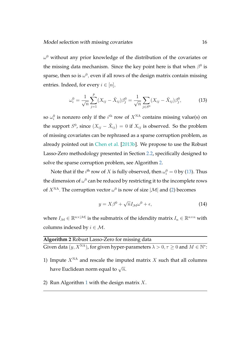$\omega^0$  without any prior knowledge of the distribution of the covariates or the missing data mechanism. Since the key point here is that when  $\beta^0$  is sparse, then so is  $\omega^0$ , even if all rows of the design matrix contain missing entries. Indeed, for every  $i \in [n]$ ,

<span id="page-15-1"></span>
$$
\omega_i^0 = \frac{1}{\sqrt{n}} \sum_{j=1}^p (X_{ij} - \tilde{X}_{ij}) \beta_j^0 = \frac{1}{\sqrt{n}} \sum_{j \in S^0} (X_{ij} - \tilde{X}_{ij}) \beta_j^0, \tag{13}
$$

so  $\omega_i^0$  is nonzero only if the  $i^{\rm th}$  row of  $X^{\rm NA}$  contains missing value(s) on the support  $S^0$ , since  $(X_{ij} - \tilde{X}_{ij}) = 0$  if  $X_{ij}$  is observed. So the problem of missing covariates can be rephrased as a sparse corruption problem, as already pointed out in [Chen et al.](#page-29-5) [\[2013b\]](#page-29-5). We propose to use the Robust Lasso-Zero methodology presented in Section [2.2,](#page-6-1) specifically designed to solve the sparse corruption problem, see Algorithm [2.](#page-15-0)

Note that if the  $i^{\text{th}}$  row of  $X$  is fully observed, then  $\omega_i^0=0$  by [\(13\)](#page-15-1). Thus the dimension of  $\omega^0$  can be reduced by restricting it to the incomplete rows of  $X^{\text{NA}}$ . The corruption vector  $\omega^0$  is now of size  $|\mathcal{M}|$  and [\(2\)](#page-2-0) becomes

$$
y = X\beta^{0} + \sqrt{n}I_{\mathcal{M}}\omega^{0} + \epsilon,
$$
\n(14)

where  $I_{\mathcal{M}}\in\mathbb{R}^{n\times|\mathcal{M}|}$  is the submatrix of the idendity matrix  $I_n\in\mathbb{R}^{n\times n}$  with columns indexed by  $i \in \mathcal{M}$ .

<span id="page-15-0"></span>

| Algorithm 2 Robust Lasso-Zero for missing data                                                             |
|------------------------------------------------------------------------------------------------------------|
| Given data $(y, X^{NA})$ , for given hyper-parameters $\lambda > 0, \tau \ge 0$ and $M \in \mathbb{N}^*$ : |

- 1) Impute  $X<sup>NA</sup>$  and rescale the imputed matrix X such that all columns have Euclidean norm equal to  $\sqrt{n}$ .
- 2) Run Algorithm [1](#page-7-2) with the design matrix  $X$ .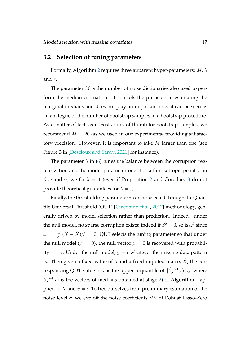#### <span id="page-16-0"></span>**3.2 Selection of tuning parameters**

Formally, Algorithm [2](#page-15-0) requires three apparent hyper-parameters:  $M$ ,  $\lambda$ and  $\tau$ .

The parameter  $M$  is the number of noise dictionaries also used to perform the median estimation. It controls the precision in estimating the marginal medians and does not play an important role: it can be seen as an analogue of the number of bootstrap samples in a bootstrap procedure. As a matter of fact, as it exists rules of thumb for bootstrap samples, we recommend  $M = 20$  -as we used in our experiments- providing satisfactory precision. However, it is important to take  $M$  larger than one (see Figure 3 in [\[Descloux and Sardy,](#page-30-1) [2021\]](#page-30-1) for instance).

The parameter  $\lambda$  in [\(6\)](#page-6-0) tunes the balance between the corruption regularization and the model parameter one. For a fair isotropic penalty on  $\beta$ ,  $\omega$  and  $\gamma$ , we fix  $\lambda = 1$  (even if Proposition [2](#page-12-0) and Corollary [3](#page-13-0) do not provide theoretical guarantees for  $\lambda = 1$ ).

Finally, the thresholding parameter  $\tau$  can be selected through the Quantile Universal Threshold (QUT) [\[Giacobino et al.,](#page-30-2) [2017\]](#page-30-2) methodology, generally driven by model selection rather than prediction. Indeed, under the null model, no sparse corruption exists: indeed if  $\beta^0=0$ , so is  $\omega^0$  since  $\omega^0 = \frac{1}{\sqrt{2}}$  $\frac{1}{\sqrt{n}}(X-\tilde{X})\beta^0=0.$  QUT selects the tuning parameter so that under the null model ( $\beta^0=0$ ), the null vector  $\hat{\beta}=0$  is recovered with probability 1 –  $\alpha$ . Under the null model,  $y = \epsilon$  whatever the missing data pattern is. Then given a fixed value of  $\lambda$  and a fixed imputed matrix  $\tilde{X}$ , the corresponding QUT value of  $\tau$  is the upper  $\alpha$ -quantile of  $\|\hat{\beta}^{\text{med}}_\lambda(\epsilon)\|_\infty$ , where  $\hat{\beta}^{\rm med}_\lambda(\epsilon)$  is the vectors of medians obtained at stage [2\)](#page-7-1) of Algorithm [1](#page-7-2) applied to  $\tilde{X}$  and  $y = \epsilon$ . To free ourselves from preliminary estimation of the noise level  $\sigma,$  we exploit the noise coefficients  $\hat{\gamma}^{(k)}$  of Robust Lasso-Zero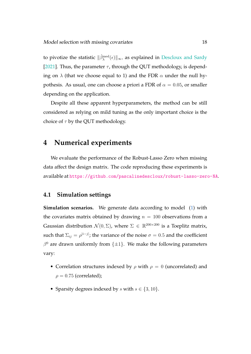to pivotize the statistic  $\|\hat{\beta}^{\text{med}}_{\lambda}(\epsilon)\|_{\infty}$ , as explained in [Descloux and Sardy](#page-30-1) [\[2021\]](#page-30-1). Thus, the parameter  $\tau$ , through the QUT methodology, is depending on  $\lambda$  (that we choose equal to 1) and the FDR  $\alpha$  under the null hypothesis. As usual, one can choose a priori a FDR of  $\alpha = 0.05$ , or smaller depending on the application.

Despite all these apparent hyperparameters, the method can be still considered as relying on mild tuning as the only important choice is the choice of  $\tau$  by the QUT methodology.

### <span id="page-17-0"></span>**4 Numerical experiments**

We evaluate the performance of the Robust-Lasso Zero when missing data affect the design matrix. The code reproducing these experiments is available at <https://github.com/pascalinedescloux/robust-lasso-zero-NA>.

#### **4.1 Simulation settings**

**Simulation scenarios.** We generate data according to model [\(1\)](#page-2-1) with the covariates matrix obtained by drawing  $n = 100$  observations from a Gaussian distribution  $\mathcal{N}(0, \Sigma)$ , where  $\Sigma \in \mathbb{R}^{200 \times 200}$  is a Toeplitz matrix, such that  $\Sigma_{ij} = \rho^{|i-j|}$ ; the variance of the noise  $\sigma = 0.5$  and the coefficient  $\beta^0$  are drawn uniformly from  $\{\pm 1\}$ . We make the following parameters vary:

- Correlation structures indexed by  $\rho$  with  $\rho = 0$  (uncorrelated) and  $\rho = 0.75$  (correlated);
- Sparsity degrees indexed by s with  $s \in \{3, 10\}$ .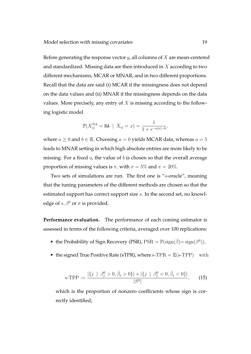Before generating the response vector  $y$ , all columns of  $X$  are mean-centered and standardized. Missing data are then introduced in  $X$  according to two different mechanisms, MCAR or MNAR, and in two different proportions. Recall that the data are said (i) MCAR if the missingness does not depend on the data values and (ii) MNAR if the missingness depends on the data values. More precisely, any entry of  $X$  is missing according to the following logistic model

$$
\mathbb{P}(X_{ij}^{\text{NA}} = \text{NA} \mid X_{ij} = x) = \frac{1}{1 + e^{-a|x| - b}},
$$

where  $a \geq 0$  and  $b \in \mathbb{R}$ . Choosing  $a = 0$  yields MCAR data, whereas  $a = 5$ leads to MNAR setting in which high absolute entries are more likely to be missing. For a fixed  $a$ , the value of  $b$  is chosen so that the overall average proportion of missing values is  $\pi$ , with  $\pi = 5\%$  and  $\pi = 20\%$ .

Two sets of simulations are run. The first one is "s-oracle", meaning that the tuning parameters of the different methods are chosen so that the estimated support has correct support size s. In the second set, no knowledge of  $s, \beta^0$  or  $\sigma$  is provided.

**Performance evaluation.** The performance of each coming estimator is assessed in terms of the following criteria, averaged over 100 replications:

- the Probability of Sign Recovery (PSR),  $PSR = \mathbb{P}(\text{sign}(\hat{\beta}) = \text{sign}(\beta^0)),$
- <span id="page-18-0"></span>• the signed True Positive Rate (sTPR), where  $s$ -TPR =  $\mathbb{E}(s$ -TPP) with

$$
\text{s-TPP} := \frac{|\{j \mid \beta_j^0 > 0, \hat{\beta}_j > 0\}| + |\{j \mid \beta_j^0 < 0, \hat{\beta}_j < 0\}|}{|S^0|},\tag{15}
$$

which is the proportion of nonzero coefficients whose sign is correctly identified;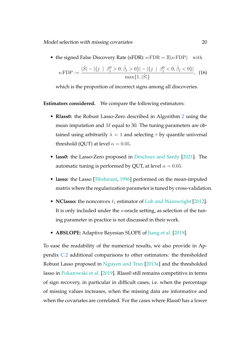• the signed False Discovery Rate (sFDR):  $s$ -FDR =  $\mathbb{E}(s$ -FDP) with

<span id="page-19-0"></span>
$$
\text{s-FDP} := \frac{|\hat{S}| - |\{j \mid \beta_j^0 > 0, \hat{\beta}_j > 0\}| - |\{j \mid \beta_j^0 < 0, \hat{\beta}_j < 0\}|}{\max\{1, |\hat{S}|\}}, \tag{16}
$$

which is the proportion of incorrect signs among all discoveries.

**Estimators considered.** We compare the following estimators:

- **Rlass0:** the Robust Lasso-Zero described in Algorithm [2](#page-15-0) using the mean imputation and M equal to 30. The tuning parameters are obtained using arbitrarily  $\lambda = 1$  and selecting  $\tau$  by quantile universal threshold (QUT) at level  $\alpha = 0.05$ .
- **lass0:** the Lasso-Zero proposed in [Descloux and Sardy](#page-30-1) [\[2021\]](#page-30-1). The automatic tuning is performed by QUT, at level  $\alpha = 0.05$ .
- **lasso:** the Lasso [\[Tibshirani,](#page-32-0) [1996\]](#page-32-0) performed on the mean-imputed matrix where the regularization parameter is tuned by cross-validation.
- **NClasso:** the nonconvex  $\ell_1$  estimator of [Loh and Wainwright](#page-31-5) [\[2012\]](#page-31-5). It is only included under the s-oracle setting, as selection of the tuning parameter in practice is not discussed in their work.
- **ABSLOPE:** Adaptive Bayesian SLOPE of [Jiang et al.](#page-30-4) [\[2019\]](#page-30-4).

To ease the readability of the numerical results, we also provide in Appendix [C.2](#page-45-0) additional comparisons to other estimators: the thresholded Robust Lasso proposed in [Nguyen and Tran](#page-31-3) [\[2013a\]](#page-31-3) and the thresholded lasso in [Pokarowski et al.](#page-31-6) [\[2019\]](#page-31-6). Rlass0 still remains competitive in terms of sign recovery, in particular in difficult cases, i.e. when the percentage of missing values increases, when the missing data are informative and when the covariates are correlated. For the cases where Rlass0 has a lower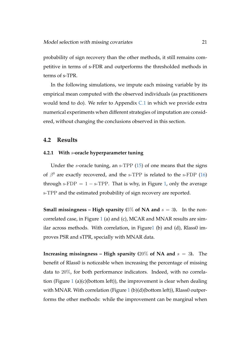probability of sign recovery than the other methods, it still remains competitive in terms of s-FDR and outperforms the thresholded methods in terms of s-TPR.

In the following simulations, we impute each missing variable by its empirical mean computed with the observed individuals (as practitioners would tend to do). We refer to Appendix [C.1](#page-43-0) in which we provide extra numerical experiments when different strategies of imputation are considered, without changing the conclusions observed in this section.

#### **4.2 Results**

#### <span id="page-20-0"></span>**4.2.1 With** s**-oracle hyperparameter tuning**

Under the  $s$ -oracle tuning, an  $s$ -TPP  $(15)$  of one means that the signs of  $\beta^0$  are exactly recovered, and the s-TPP is related to the s-FDP [\(16\)](#page-19-0) through s-FDP =  $1 - s$ -TPP. That is why, in Figure [1,](#page-21-0) only the average s-TPP and the estimated probability of sign recovery are reported.

**Small missingness – High sparsity (5% of NA and**  $s = 3$ **). In the non**correlated case, in Figure [1](#page-21-0) (a) and (c), MCAR and MNAR results are similar across methods. With correlation, in Figur[e1](#page-21-0) (b) and (d), Rlass0 improves PSR and sTPR, specially with MNAR data.

**Increasing missingness – High sparsity (20% of NA and**  $s = 3$ **).** The benefit of Rlass0 is noticeable when increasing the percentage of missing data to 20%, for both performance indicators. Indeed, with no correla-tion (Figure [1](#page-21-0) (a)(c)(bottom left)), the improvement is clear when dealing with MNAR. With correlation (Figure [1](#page-21-0) (b)(d)(bottom left)), Rlass0 outperforms the other methods: while the improvement can be marginal when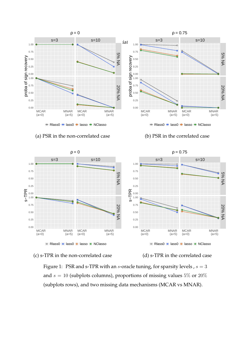

#### (a) PSR in the non-correlated case (b) PSR in the correlated case





<span id="page-21-0"></span>Figure 1: PSR and s-TPR with an s-oracle tuning, for sparsity levels,  $s = 3$ and  $s = 10$  (subplots columns), proportions of missing values 5% or 20% (subplots rows), and two missing data mechanisms (MCAR vs MNAR).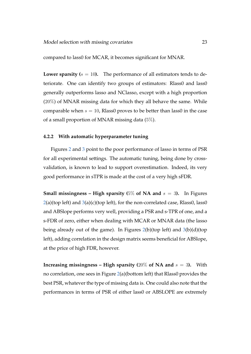compared to lass0 for MCAR, it becomes significant for MNAR.

**Lower sparsity (** $s = 10$ **).** The performance of all estimators tends to deteriorate. One can identify two groups of estimators: Rlass0 and lass0 generally outperforms lasso and NClasso, except with a high proportion  $(20\%)$  of MNAR missing data for which they all behave the same. While comparable when  $s = 10$ , Rlass0 proves to be better than lass0 in the case of a small proportion of MNAR missing data (5%).

#### <span id="page-22-0"></span>**4.2.2 With automatic hyperparameter tuning**

Figures [2](#page-24-0) and [3](#page-25-0) point to the poor performance of lasso in terms of PSR for all experimental settings. The automatic tuning, being done by crossvalidation, is known to lead to support overestimation. Indeed, its very good performance in sTPR is made at the cost of a very high sFDR.

**Small missingness – High sparsity (** $5\%$  **of NA and**  $s = 3$ ). In Figures  $2(a)$  $2(a)$ (top left) and  $3(a)$  $3(a)$ (c)(top left), for the non-correlated case, Rlass0, lass0 and ABSlope performs very well, providing a PSR and s-TPR of one, and a s-FDR of zero, either when dealing with MCAR or MNAR data (the lasso being already out of the game). In Figures  $2(b)$  $2(b)$ (top left) and  $3(b)(d)$  $3(b)(d)$ (top left), adding correlation in the design matrix seems beneficial for ABSlope, at the price of high FDR, however.

**Increasing missingness – High sparsity (20% of NA and**  $s = 3$ **). With** no correlation, one sees in Figure [2\(](#page-24-0)a)(bottom left) that Rlass0 provides the best PSR, whatever the type of missing data is. One could also note that the performances in terms of PSR of either lass0 or ABSLOPE are extremely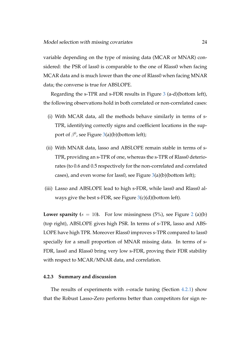variable depending on the type of missing data (MCAR or MNAR) considered: the PSR of lass0 is comparable to the one of Rlass0 when facing MCAR data and is much lower than the one of Rlass0 when facing MNAR data; the converse is true for ABSLOPE.

Regarding the s-TPR and s-FDR results in Figure [3](#page-25-0) (a-d)(bottom left), the following observations hold in both correlated or non-correlated cases:

- (i) With MCAR data, all the methods behave similarly in terms of s-TPR, identifying correctly signs and coefficient locations in the support of  $\beta^0$ , see Figure [3\(](#page-25-0)a)(b)(bottom left);
- (ii) With MNAR data, lasso and ABSLOPE remain stable in terms of s-TPR, providing an s-TPR of one, whereas the s-TPR of Rlass0 deteriorates (to 0.6 and 0.5 respectively for the non-correlated and correlated cases), and even worse for lass0, see Figure [3\(](#page-25-0)a)(b)(bottom left);
- (iii) Lasso and ABSLOPE lead to high s-FDR, while lass0 and Rlass0 always give the best s-FDR, see Figure  $3(c)(d)(b\n$  $3(c)(d)(b\n$ ottom left).

**Lower sparsity (** $s = 10$ ). For low missingness (5%), see Figure [2](#page-24-0) (a)(b) (top right), ABSLOPE gives high PSR. In terms of s-TPR, lasso and ABS-LOPE have high TPR. Moreover Rlass0 improves s-TPR compared to lass0 specially for a small proportion of MNAR missing data. In terms of s-FDR, lass0 and Rlass0 bring very low s-FDR, proving their FDR stability with respect to MCAR/MNAR data, and correlation.

#### **4.2.3 Summary and discussion**

The results of experiments with s-oracle tuning (Section [4.2.1\)](#page-20-0) show that the Robust Lasso-Zero performs better than competitors for sign re-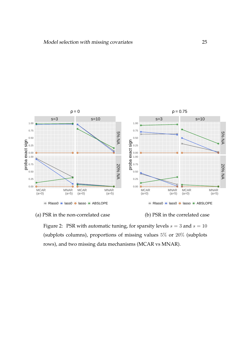



<span id="page-24-0"></span>Figure 2: PSR with automatic tuning, for sparsity levels  $s = 3$  and  $s = 10$ (subplots columns), proportions of missing values 5% or 20% (subplots rows), and two missing data mechanisms (MCAR vs MNAR).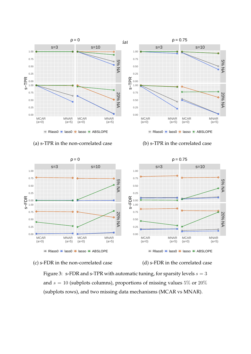

#### (a) s-TPR in the non-correlated case (b) s-TPR in the correlated case



#### (c) s-FDR in the non-correlated case (d) s-FDR in the correlated case

<span id="page-25-0"></span>Figure 3: s-FDR and s-TPR with automatic tuning, for sparsity levels  $s = 3$ and  $s = 10$  (subplots columns), proportions of missing values 5\% or 20\% (subplots rows), and two missing data mechanisms (MCAR vs MNAR).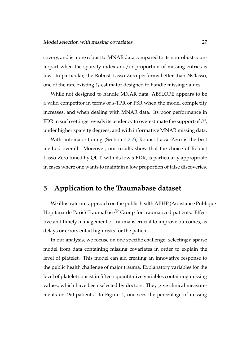covery, and is more robust to MNAR data compared to its nonrobust counterpart when the sparsity index and/or proportion of missing entries is low. In particular, the Robust Lasso-Zero performs better than NClasso, one of the rare existing  $\ell_1$ -estimator designed to handle missing values.

While not designed to handle MNAR data, ABSLOPE appears to be a valid competitor in terms of s-TPR or PSR when the model complexity increases, and when dealing with MNAR data. Its poor performance in FDR in such settings reveals its tendency to overestimate the support of  $\beta^0$  , under higher sparsity degrees, and with informative MNAR missing data.

With automatic tuning (Section [4.2.2\)](#page-22-0), Robust Lasso-Zero is the best method overall. Moreover, our results show that the choice of Robust Lasso-Zero tuned by QUT, with its low s-FDR, is particularly appropriate in cases where one wants to maintain a low proportion of false discoveries.

### <span id="page-26-0"></span>**5 Application to the Traumabase dataset**

We illustrate our approach on the public health APHP (Assistance Publique Hopitaux de Paris) TraumaBase® Group for traumatized patients. Effective and timely management of trauma is crucial to improve outcomes, as delays or errors entail high risks for the patient.

In our analysis, we focuse on one specific challenge: selecting a sparse model from data containing missing covariates in order to explain the level of platelet. This model can aid creating an innovative response to the public health challenge of major trauma. Explanatory variables for the level of platelet consist in fifteen quantitative variables containing missing values, which have been selected by doctors. They give clinical measurements on 490 patients. In Figure [4,](#page-27-0) one sees the percentage of missing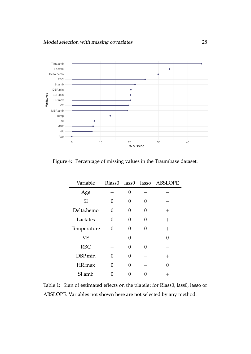

<span id="page-27-0"></span>Figure 4: Percentage of missing values in the Traumbase dataset.

| Variable    | Rlass0 lass0 lasso |   |                   | <b>ABSLOPE</b>     |
|-------------|--------------------|---|-------------------|--------------------|
| Age         |                    | 0 |                   |                    |
| SI          | 0                  |   |                   |                    |
| Delta.hemo  | 0                  |   | $\mathbf{\Omega}$ | $\hspace{0.1mm} +$ |
| Lactates    | 0                  |   | O                 | $\hspace{0.1mm} +$ |
| Temperature | 0                  | 0 | $\mathbf{\Omega}$ | $^{+}$             |
| <b>VE</b>   |                    | 0 |                   | O                  |
| <b>RBC</b>  |                    | 0 |                   |                    |
| DBP.min     |                    |   |                   |                    |
| HR.max      | 0                  | 0 |                   | 0                  |
| SI.amb      |                    |   |                   |                    |

<span id="page-27-1"></span>Table 1: Sign of estimated effects on the platelet for Rlass0, lass0, lasso or ABSLOPE. Variables not shown here are not selected by any method.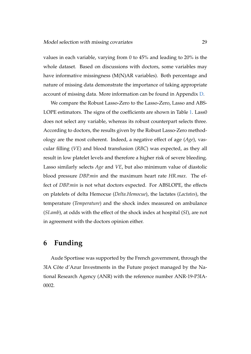values in each variable, varying from 0 to 45% and leading to 20% is the whole dataset. Based on discussions with doctors, some variables may have informative missingness (M(N)AR variables). Both percentage and nature of missing data demonstrate the importance of taking appropriate account of missing data. More information can be found in Appendix [D.](#page-48-0)

We compare the Robust Lasso-Zero to the Lasso-Zero, Lasso and ABS-LOPE estimators. The signs of the coefficients are shown in Table [1.](#page-27-1) Lass0 does not select any variable, whereas its robust counterpart selects three. According to doctors, the results given by the Robust Lasso-Zero methodology are the most coherent. Indeed, a negative effect of age (*Age*), vascular filling (*VE*) and blood transfusion (*RBC*) was expected, as they all result in low platelet levels and therefore a higher risk of severe bleeding. Lasso similarly selects *Age* and *VE*, but also minimum value of diastolic blood pressure *DBP.min* and the maximum heart rate *HR.max*. The effect of *DBP.min* is not what doctors expected. For ABSLOPE, the effects on platelets of delta Hemocue (*Delta.Hemocue*), the lactates (*Lactates*), the temperature (*Temperature*) and the shock index measured on ambulance (*SI.amb*), at odds with the effect of the shock index at hospital (*SI*), are not in agreement with the doctors opinion either.

### **6 Funding**

Aude Sportisse was supported by the French government, through the 3IA Côte d'Azur Investments in the Future project managed by the National Research Agency (ANR) with the reference number ANR-19-P3IA-0002.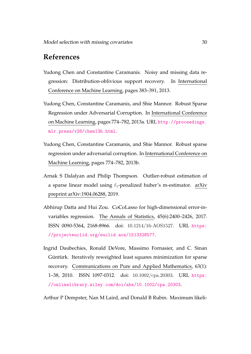### **References**

- <span id="page-29-4"></span>Yudong Chen and Constantine Caramanis. Noisy and missing data regression: Distribution-oblivious support recovery. In International Conference on Machine Learning, pages 383–391, 2013.
- <span id="page-29-0"></span>Yudong Chen, Constantine Caramanis, and Shie Mannor. Robust Sparse Regression under Adversarial Corruption. In International Conference on Machine Learning, pages 774–782, 2013a. URL [http://proceedings.](http://proceedings.mlr.press/v28/chen13h.html) [mlr.press/v28/chen13h.html](http://proceedings.mlr.press/v28/chen13h.html).
- <span id="page-29-5"></span>Yudong Chen, Constantine Caramanis, and Shie Mannor. Robust sparse regression under adversarial corruption. In International Conference on Machine Learning, pages 774–782, 2013b.
- <span id="page-29-1"></span>Arnak S Dalalyan and Philip Thompson. Outlier-robust estimation of a sparse linear model using  $\ell_1$ -penalized huber's m-estimator. arXiv preprint arXiv:1904.06288, 2019.
- <span id="page-29-3"></span>Abhirup Datta and Hui Zou. CoCoLasso for high-dimensional error-invariables regression. The Annals of Statistics, 45(6):2400–2426, 2017. ISSN 0090-5364, 2168-8966. doi: 10.1214/16-AOS1527. URL [https:](https://projecteuclid.org/euclid.aos/1513328577) [//projecteuclid.org/euclid.aos/1513328577](https://projecteuclid.org/euclid.aos/1513328577).
- <span id="page-29-6"></span>Ingrid Daubechies, Ronald DeVore, Massimo Fornasier, and C. Sinan Güntürk. Iteratively reweighted least squares minimization for sparse recovery. Communications on Pure and Applied Mathematics, 63(1): 1–38, 2010. ISSN 1097-0312. doi: 10.1002/cpa.20303. URL [https:](https://onlinelibrary.wiley.com/doi/abs/10.1002/cpa.20303) [//onlinelibrary.wiley.com/doi/abs/10.1002/cpa.20303](https://onlinelibrary.wiley.com/doi/abs/10.1002/cpa.20303).

<span id="page-29-2"></span>Arthur P Dempster, Nan M Laird, and Donald B Rubin. Maximum likeli-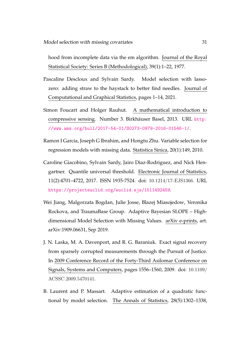hood from incomplete data via the em algorithm. Journal of the Royal Statistical Society: Series B (Methodological), 39(1):1–22, 1977.

- <span id="page-30-1"></span>Pascaline Descloux and Sylvain Sardy. Model selection with lassozero: adding straw to the haystack to better find needles. Journal of Computational and Graphical Statistics, pages 1–14, 2021.
- <span id="page-30-5"></span>Simon Foucart and Holger Rauhut. A mathematical introduction to compressive sensing. Number 3. Birkhäuser Basel, 2013. URL [http:](http://www.ams.org/bull/2017-54-01/S0273-0979-2016-01546-1/) [//www.ams.org/bull/2017-54-01/S0273-0979-2016-01546-1/](http://www.ams.org/bull/2017-54-01/S0273-0979-2016-01546-1/).
- <span id="page-30-3"></span>Ramon I Garcia, Joseph G Ibrahim, and Hongtu Zhu. Variable selection for regression models with missing data. Statistica Sinica, 20(1):149, 2010.
- <span id="page-30-2"></span>Caroline Giacobino, Sylvain Sardy, Jairo Diaz-Rodriguez, and Nick Hengartner. Quantile universal threshold. Electronic Journal of Statistics, 11(2):4701–4722, 2017. ISSN 1935-7524. doi: 10.1214/17-EJS1366. URL <https://projecteuclid.org/euclid.ejs/1511492459>.
- <span id="page-30-4"></span>Wei Jiang, Malgorzata Bogdan, Julie Josse, Blazej Miasojedow, Veronika Rockova, and TraumaBase Group. Adaptive Bayesian SLOPE – Highdimensional Model Selection with Missing Values. arXiv e-prints, art. arXiv:1909.06631, Sep 2019.
- <span id="page-30-0"></span>J. N. Laska, M. A. Davenport, and R. G. Baraniuk. Exact signal recovery from sparsely corrupted measurements through the Pursuit of Justice. In 2009 Conference Record of the Forty-Third Asilomar Conference on Signals, Systems and Computers, pages 1556–1560, 2009. doi: 10.1109/ ACSSC.2009.5470141.
- <span id="page-30-6"></span>B. Laurent and P. Massart. Adaptive estimation of a quadratic functional by model selection. The Annals of Statistics, 28(5):1302–1338,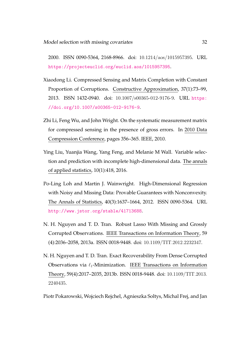2000. ISSN 0090-5364, 2168-8966. doi: 10.1214/aos/1015957395. URL <https://projecteuclid.org/euclid.aos/1015957395>.

- <span id="page-31-1"></span>Xiaodong Li. Compressed Sensing and Matrix Completion with Constant Proportion of Corruptions. Constructive Approximation, 37(1):73–99, 2013. ISSN 1432-0940. doi: 10.1007/s00365-012-9176-9. URL [https:](https://doi.org/10.1007/s00365-012-9176-9) [//doi.org/10.1007/s00365-012-9176-9](https://doi.org/10.1007/s00365-012-9176-9).
- <span id="page-31-0"></span>Zhi Li, Feng Wu, and John Wright. On the systematic measurement matrix for compressed sensing in the presence of gross errors. In 2010 Data Compression Conference, pages 356–365. IEEE, 2010.
- <span id="page-31-4"></span>Ying Liu, Yuanjia Wang, Yang Feng, and Melanie M Wall. Variable selection and prediction with incomplete high-dimensional data. The annals of applied statistics, 10(1):418, 2016.
- <span id="page-31-5"></span>Po-Ling Loh and Martin J. Wainwright. High-Dimensional Regression with Noisy and Missing Data: Provable Guarantees with Nonconvexity. The Annals of Statistics, 40(3):1637–1664, 2012. ISSN 0090-5364. URL <http://www.jstor.org/stable/41713688>.
- <span id="page-31-3"></span>N. H. Nguyen and T. D. Tran. Robust Lasso With Missing and Grossly Corrupted Observations. IEEE Transactions on Information Theory, 59 (4):2036–2058, 2013a. ISSN 0018-9448. doi: 10.1109/TIT.2012.2232347.
- <span id="page-31-2"></span>N. H. Nguyen and T. D. Tran. Exact Recoverability From Dense Corrupted Observations via  $\ell_1$ -Minimization. IEEE Transactions on Information Theory, 59(4):2017–2035, 2013b. ISSN 0018-9448. doi: 10.1109/TIT.2013. 2240435.

<span id="page-31-6"></span>Piotr Pokarowski, Wojciech Rejchel, Agnieszka Soltys, Michal Frej, and Jan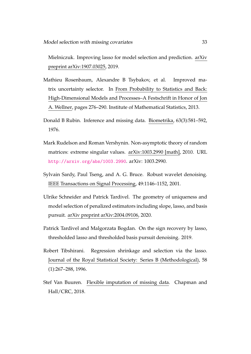Mielniczuk. Improving lasso for model selection and prediction. arXiv preprint arXiv:1907.03025, 2019.

- <span id="page-32-6"></span>Mathieu Rosenbaum, Alexandre B Tsybakov, et al. Improved matrix uncertainty selector. In From Probability to Statistics and Back: High-Dimensional Models and Processes–A Festschrift in Honor of Jon A. Wellner, pages 276–290. Institute of Mathematical Statistics, 2013.
- <span id="page-32-3"></span>Donald B Rubin. Inference and missing data. Biometrika, 63(3):581–592, 1976.
- <span id="page-32-7"></span>Mark Rudelson and Roman Vershynin. Non-asymptotic theory of random matrices: extreme singular values. arXiv:1003.2990 [math], 2010. URL <http://arxiv.org/abs/1003.2990>. arXiv: 1003.2990.
- <span id="page-32-1"></span>Sylvain Sardy, Paul Tseng, and A. G. Bruce. Robust wavelet denoising. IEEE Transactions on Signal Processing, 49:1146–1152, 2001.
- <span id="page-32-4"></span>Ulrike Schneider and Patrick Tardivel. The geometry of uniqueness and model selection of penalized estimators including slope, lasso, and basis pursuit. arXiv preprint arXiv:2004.09106, 2020.
- <span id="page-32-2"></span>Patrick Tardivel and Malgorzata Bogdan. On the sign recovery by lasso, thresholded lasso and thresholded basis pursuit denoising. 2019.
- <span id="page-32-0"></span>Robert Tibshirani. Regression shrinkage and selection via the lasso. Journal of the Royal Statistical Society: Series B (Methodological), 58 (1):267–288, 1996.
- <span id="page-32-5"></span>Stef Van Buuren. Flexible imputation of missing data. Chapman and Hall/CRC, 2018.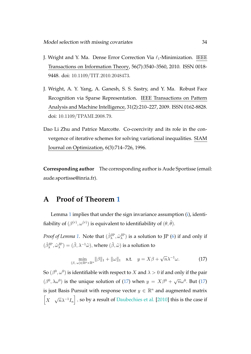- <span id="page-33-1"></span>J. Wright and Y. Ma. Dense Error Correction Via  $\ell_1$ -Minimization. IEEE Transactions on Information Theory, 56(7):3540–3560, 2010. ISSN 0018- 9448. doi: 10.1109/TIT.2010.2048473.
- <span id="page-33-0"></span>J. Wright, A. Y. Yang, A. Ganesh, S. S. Sastry, and Y. Ma. Robust Face Recognition via Sparse Representation. IEEE Transactions on Pattern Analysis and Machine Intelligence, 31(2):210–227, 2009. ISSN 0162-8828. doi: 10.1109/TPAMI.2008.79.
- <span id="page-33-2"></span>Dao Li Zhu and Patrice Marcotte. Co-coercivity and its role in the convergence of iterative schemes for solving variational inequalities. SIAM Journal on Optimization, 6(3):714–726, 1996.

**Corresponding author** The corresponding author is Aude Sportisse (email: aude.sportisse@inria.fr).

### <span id="page-33-3"></span>**A Proof of Theorem [1](#page-10-3)**

Lemma [1](#page-9-0) implies that under the sign invariance assumption [\(i\)](#page-10-0), identifiability of  $(\beta^{(r)}, \omega^{(r)})$  is equivalent to identifiability of  $(\theta, \tilde{\theta})$ .

*Proof of Lemma [1.](#page-9-0)* Note that  $(\hat{\beta}_{\lambda}^{\text{JP}}, \hat{\omega}_{\lambda}^{\text{JP}})$  is a solution to JP [\(6\)](#page-6-0) if and only if  $(\hat{\beta}_{\lambda}^{\text{JP}}, \hat{\omega}_{\lambda}^{\text{JP}}) = (\tilde{\beta}, \lambda^{-1}\tilde{\omega}), \text{where } (\tilde{\beta}, \tilde{\omega}) \text{ is a solution to }$ 

<span id="page-33-4"></span>
$$
\min_{(\beta,\,\omega)\in\mathbb{R}^p\times\mathbb{R}^n}||\beta||_1+||\omega||_1 \quad \text{s.t.} \quad y=X\beta+\sqrt{n}\lambda^{-1}\omega. \tag{17}
$$

So  $(\beta^0,\omega^0)$  is identifiable with respect to  $X$  and  $\lambda>0$  if and only if the pair  $(\beta^0, \lambda \omega^0)$  is the unique solution of [\(17\)](#page-33-4) when  $y = X\beta^0 + \sqrt{n}\omega^0$ . But (17) is just Basis Pursuit with response vector  $y \in \mathbb{R}^n$  and augmented matrix  $\bigl[$ X  $\sqrt{n}\lambda^{-1}I_n$ , so by a result of [Daubechies et al.](#page-29-6) [\[2010\]](#page-29-6) this is the case if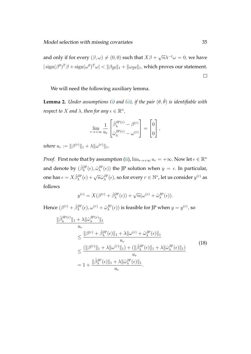$\sqrt{n}\lambda^{-1}\omega = 0$ , we have and only if for every  $(\beta,\omega)\neq (0,0)$  such that  $X\beta$  +  $|\operatorname{sign}(\beta^0)^T\beta + \operatorname{sign}(\omega^0)^T\omega| < ||\beta_{\overline{S^0}}||_1 + ||\omega_{\overline{T^0}}||_1$ , which proves our statement.  $\Box$ 

We will need the following auxiliary lemma.

<span id="page-34-1"></span>**Lemma 2.** *Under assumptions [\(i\)](#page-10-0) and [\(ii\)](#page-10-1), if the pair*  $(\theta, \tilde{\theta})$  *is identifiable with respect to*  $X$  *and*  $\lambda$ , *then for any*  $\epsilon \in \mathbb{R}^n$ ,

$$
\lim_{r \to +\infty} \frac{1}{u_r} \begin{bmatrix} \hat{\beta}_{\lambda}^{\text{JP}(r)} - \beta^{(r)} \\ \hat{\omega}_{\lambda}^{\text{JP}(r)} - \omega^{(r)} \end{bmatrix} = \begin{bmatrix} 0 \\ 0 \end{bmatrix},
$$

*where*  $u_r := ||\beta^{(r)}||_1 + \lambda ||\omega^{(r)}||_1$ .

*Proof.* First note that by assumption [\(ii\)](#page-10-1),  $\lim_{r\to+\infty} u_r = +\infty$ . Now let  $\epsilon \in \mathbb{R}^n$ and denote by  $(\hat{\beta}_\lambda^{\mathrm{JP}}(\epsilon), \hat{\omega}_\lambda^{\mathrm{JP}}(\epsilon))$  the JP solution when  $y=\epsilon$ . In particular, one has  $\epsilon=X\hat\beta_\lambda^{\rm JP}(\epsilon)+\sqrt{n}\hat\omega_\lambda^{\rm JP}(\epsilon),$  so for every  $r\in\mathbb{N}^*$ , let us consider  $y^{(r)}$  as follows

<span id="page-34-0"></span>
$$
y^{(r)} = X(\beta^{(r)} + \hat{\beta}_{\lambda}^{\text{JP}}(\epsilon)) + \sqrt{n}(\omega^{(r)} + \hat{\omega}_{\lambda}^{\text{JP}}(\epsilon)).
$$

Hence  $(\beta^{(r)}+\hat{\beta}^{\text{JP}}_{\lambda}(\epsilon),\omega^{(r)}+\hat{\omega}^{\text{JP}}_{\lambda}(\epsilon))$  is feasible for JP when  $y=y^{(r)},$  so

$$
\frac{\|\hat{\beta}_{\lambda}^{\text{JP}(r)}\|_{1} + \lambda \|\hat{\omega}_{\lambda}^{\text{JP}(r)}\|_{1}}{\nu_{r}}\n\leq \frac{\|\beta^{(r)} + \hat{\beta}_{\lambda}^{\text{JP}}(\epsilon)\|_{1} + \lambda \|\omega^{(r)} + \hat{\omega}_{\lambda}^{\text{JP}}(\epsilon)\|_{1}}{\nu_{r}}\n\leq \frac{(\|\beta^{(r)}\|_{1} + \lambda \|\omega^{(r)}\|_{1}) + (\|\hat{\beta}_{\lambda}^{\text{JP}}(\epsilon)\|_{1} + \lambda \|\hat{\omega}_{\lambda}^{\text{JP}}(\epsilon)\|_{1})}{\nu_{r}}\n= 1 + \frac{\|\hat{\beta}_{\lambda}^{\text{JP}}(\epsilon)\|_{1} + \lambda \|\hat{\omega}_{\lambda}^{\text{JP}}(\epsilon)\|_{1}}{\nu_{r}}.
$$
\n(18)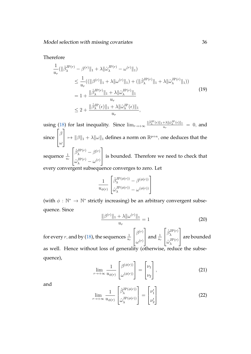Therefore

$$
\frac{1}{u_r}(\|\hat{\beta}_{\lambda}^{\text{JP}(r)} - \beta^{(r)}\|_1 + \lambda \|\hat{\omega}_{\lambda}^{\text{JP}(r)} - \omega^{(r)}\|_1)
$$
\n
$$
\leq \frac{1}{u_r}((\|\beta^{(r)}\|_1 + \lambda \|\omega^{(r)}\|_1) + (\|\hat{\beta}_{\lambda}^{\text{JP}(r)}\|_1 + \lambda \|\hat{\omega}_{\lambda}^{\text{JP}(r)}\|_1))
$$
\n
$$
= 1 + \frac{\|\hat{\beta}_{\lambda}^{\text{JP}(r)}\|_1 + \lambda \|\hat{\omega}_{\lambda}^{\text{JP}(r)}\|_1}{u_r}
$$
\n
$$
\leq 2 + \frac{\|\hat{\beta}_{\lambda}^{\text{JP}}(\epsilon)\|_1 + \lambda \|\hat{\omega}_{\lambda}^{\text{JP}}(\epsilon)\|_1}{u_r},
$$
\n(19)

using [\(18\)](#page-34-0) for last inequality. Since  $\lim_{r\to+\infty} \frac{\|\hat{\beta}_{\lambda}^{JP}(\epsilon)\|_1 + \lambda \|\hat{\omega}_{\lambda}^{JP}(\epsilon)\|_1}{u_{\infty}}$  $\frac{d^2\mathcal{U}(\omega_\lambda \cdot (\epsilon))}{u_r} = 0$ , and since  $\sqrt{ }$  $\overline{\phantom{a}}$ β ω 1  $\left\|\mapsto \|\beta\|_1 + \lambda \|\omega\|_1$  defines a norm on  $\mathbb{R}^{p+n}$ , one deduces that the sequence  $\frac{1}{u_r}$  $\sqrt{ }$  $\overline{\phantom{a}}$  $\hat{\beta}^\mathrm{JP(r)}_\lambda - \beta^{(r)}$  $\hat{\omega}_{\lambda}^{\mathrm{JP}(r)}-\omega^{(r)}$ 1 is bounded. Therefore we need to check that every convergent subsequence converges to zero. Let

$$
\frac{1}{u_{\phi(r)}}\begin{bmatrix} \hat{\beta}_{\lambda}^{\text{JP}(\phi(r))} - \beta^{(\phi(r))}\\ \hat{\omega}_{\lambda}^{\text{JP}(\phi(r))} - \omega^{(\phi(r))} \end{bmatrix}
$$

(with  $\phi : \mathbb{N}^* \to \mathbb{N}^*$  strictly increasing) be an arbitrary convergent subsequence. Since

<span id="page-35-0"></span>
$$
\frac{\|\beta^{(r)}\|_1 + \lambda \|\omega^{(r)}\|_1}{u_r} = 1
$$
\n(20)

<span id="page-35-1"></span>for every  $r$ , and by [\(18\)](#page-34-0), the sequences  $\frac{1}{u_r}$  $\sqrt{ }$  $\overline{\phantom{a}}$  $\beta^{(r)}$  $\omega^{(r)}$ 1 | and  $\frac{1}{u_r}$  $\sqrt{ }$  $\overline{\phantom{a}}$  $\hat{\beta}_{\lambda}^{\text{JP}(r)}$ λ  $\hat{\omega}_{\lambda}^{\mathrm{JP}(r)}$ λ 1 | are bounded as well. Hence without loss of generality (otherwise, reduce the subsequence),

$$
\lim_{r \to +\infty} \frac{1}{u_{\phi(r)}} \begin{bmatrix} \beta^{(\phi(r))} \\ \omega^{(\phi(r))} \end{bmatrix} = \begin{bmatrix} \nu_1 \\ \nu_2 \end{bmatrix}, \tag{21}
$$

<span id="page-35-2"></span>and

$$
\lim_{r \to +\infty} \frac{1}{u_{\phi(r)}} \begin{bmatrix} \hat{\beta}_{\lambda}^{\text{JP}(\phi(r))} \\ \hat{\omega}_{\lambda}^{\text{JP}(\phi(r))} \end{bmatrix} = \begin{bmatrix} \nu_1' \\ \nu_2' \end{bmatrix}
$$
 (22)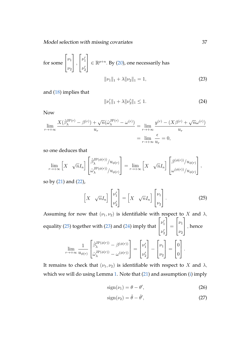Model selection with missing covariates 37

for some 
$$
\begin{bmatrix} \nu_1 \\ \nu_2 \end{bmatrix}
$$
,  $\begin{bmatrix} \nu'_1 \\ \nu'_2 \end{bmatrix} \in \mathbb{R}^{p+n}$ . By (20), one necessarily has 
$$
||\nu_1||_1 + \lambda ||\nu_2||_1 = 1,
$$
 (23)

and [\(18\)](#page-34-0) implies that

<span id="page-36-2"></span><span id="page-36-1"></span>
$$
\|\nu_1'\|_1 + \lambda \|\nu_2'\|_1 \le 1. \tag{24}
$$

Now

$$
\lim_{r \to +\infty} \frac{X(\hat{\beta}_{\lambda}^{\text{JP}(r)} - \beta^{(r)}) + \sqrt{n}(\hat{\omega}_{\lambda}^{\text{JP}(r)} - \omega^{(r)})}{u_r} = \lim_{r \to +\infty} \frac{y^{(r)} - (X\beta^{(r)} + \sqrt{n}\omega^{(r)})}{u_r}
$$

$$
= \lim_{r \to +\infty} \frac{\epsilon}{u_r} = 0,
$$

so one deduces that

$$
\lim_{r \to +\infty} \left[ X \sqrt{n} I_n \right] \begin{bmatrix} \hat{\beta}_{\lambda}^{\mathrm{JP}(\phi(r))}/u_{\phi(r)} \\ \hat{\omega}_{\lambda}^{\mathrm{JP}(\phi(r))}/u_{\phi(r)} \end{bmatrix} = \lim_{r \to +\infty} \left[ X \sqrt{n} I_n \right] \begin{bmatrix} \beta^{(\phi(r))}/u_{\phi(r)} \\ \omega^{(\phi(r))}/u_{\phi(r)} \end{bmatrix},
$$

so by [\(21\)](#page-35-1) and [\(22\)](#page-35-2),

<span id="page-36-0"></span>
$$
\begin{bmatrix} X & \sqrt{n}I_n \end{bmatrix} \begin{bmatrix} \nu_1' \\ \nu_2' \end{bmatrix} = \begin{bmatrix} X & \sqrt{n}I_n \end{bmatrix} \begin{bmatrix} \nu_1 \\ \nu_2 \end{bmatrix}.
$$
 (25)

Assuming for now that  $(\nu_1, \nu_2)$  is identifiable with respect to X and  $\lambda$ , equality [\(25\)](#page-36-0) together with [\(23\)](#page-36-1) and [\(24\)](#page-36-2) imply that  $\sqrt{ }$  $\overline{\phantom{a}}$  $\nu'_1$  $\nu'_2$ 1  $\Big\} =$  $\sqrt{ }$  $\overline{\phantom{a}}$  $\nu_1$  $\nu_2$ 1  $\vert$ , hence  $\lim_{r\to+\infty}$ 1  $u_{\phi(r)}$  $\sqrt{ }$  $\overline{1}$  $\hat{\beta}_{\lambda}^{\mathrm{JP}(\phi(r))} - \beta^{(\phi(r))}$  $\hat{\omega}_{\lambda}^{\mathrm{JP}(\phi(r))} - \omega^{(\phi(r))}$ 1  $\Big\} =$  $\sqrt{ }$  $\overline{1}$  $\nu'_1$  $\nu'_2$ 1 <sup>−</sup>  $\sqrt{ }$  $\overline{\phantom{a}}$  $\nu_1$  $\nu_2$ 1  $\Big\} =$  $\sqrt{ }$  $\overline{\phantom{a}}$ 0 0 1  $\vert \cdot$ 

It remains to check that  $(\nu_1, \nu_2)$  is identifiable with respect to X and  $\lambda$ , which we will do using Lemma [1.](#page-9-0) Note that [\(21\)](#page-35-1) and assumption [\(i\)](#page-10-0) imply

<span id="page-36-4"></span><span id="page-36-3"></span>
$$
sign(\nu_1) = \theta - \theta',\tag{26}
$$

$$
sign(\nu_2) = \tilde{\theta} - \tilde{\theta}',\tag{27}
$$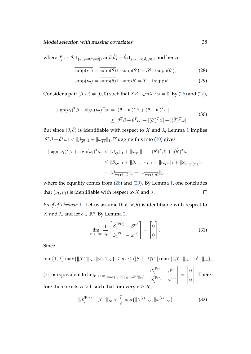Model selection with missing covariates 38

where  $\theta'_j:=\theta_j\mathbf{1}_{\{\nu_{1,j}=0,\theta_j\neq0\}},$  and  $\tilde\theta'_j=\tilde\theta_j\mathbf{1}_{\{\nu_{2,j}=0,\tilde\theta_j\neq0\}},$  and hence

<span id="page-37-2"></span><span id="page-37-1"></span>
$$
\overline{\text{supp}(\nu_1)} = \overline{\text{supp}(\theta)} \sqcup \text{supp}(\theta') = \overline{S^0} \sqcup \text{supp}(\theta'),\tag{28}
$$

$$
\overline{\text{supp}(\nu_2)} = \overline{\text{supp}(\tilde{\theta})} \sqcup \text{supp}\,\tilde{\theta}' = \overline{T^0} \sqcup \text{supp}\,\tilde{\theta}'.\tag{29}
$$

<span id="page-37-0"></span>Consider a pair  $(\beta, \omega) \neq (0, 0)$  such that  $X \beta +$  $\sqrt{n}\lambda^{-1}\omega = 0$ . By [\(26\)](#page-36-3) and [\(27\)](#page-36-4),

$$
|\operatorname{sign}(\nu_1)^T \beta + \operatorname{sign}(\nu_2)^T \omega| = |(\theta - \theta')^T \beta + (\tilde{\theta} - \tilde{\theta}')^T \omega|
$$
  

$$
\leq |\theta^T \beta + \tilde{\theta}^T \omega| + |(\theta')^T \beta| + |(\tilde{\theta}')^T \omega|.
$$
 (30)

But since  $(\theta, \tilde{\theta})$  is identifiable with respect to X and  $\lambda$ , Lemma [1](#page-9-0) implies  $|\theta^T\beta+\tilde{\theta}^T\omega|<\|\beta_{\overline{S^0}}\|_1+\|\omega_{\overline{T^0}}\|_1.$  Plugging this into [\(30\)](#page-37-0) gives

$$
|\operatorname{sign}(\nu_1)^T \beta + \operatorname{sign}(\nu_2)^T \omega| < ||\beta_{\overline{S^0}}||_1 + ||\omega_{\overline{T^0}}||_1 + |(\theta')^T \beta| + |(\tilde{\theta}')^T \omega|
$$
  
\n
$$
\leq ||\beta_{\overline{S^0}}||_1 + ||\beta_{\operatorname{supp}(\theta')}||_1 + ||\omega_{\overline{T^0}}||_1 + ||\omega_{\operatorname{supp}(\tilde{\theta}')}||_1
$$
  
\n
$$
= ||\beta_{\overline{\operatorname{supp}(\nu_1)}}||_1 + ||\omega_{\overline{\operatorname{supp}(\nu_2)}}||_1,
$$

where the equality comes from [\(28\)](#page-37-1) and [\(29\)](#page-37-2). By Lemma [1,](#page-9-0) one concludes that  $(\nu_1, \nu_2)$  is identifiable with respect to X and  $\lambda$ .  $\Box$ 

*Proof of Theorem* [1.](#page-10-3) Let us assume that  $(\theta, \tilde{\theta})$  is identifiable with respect to X and  $\lambda$ , and let  $\epsilon \in \mathbb{R}^n$ . By Lemma [2,](#page-34-1)

<span id="page-37-3"></span>
$$
\lim_{r \to +\infty} \frac{1}{u_r} \begin{bmatrix} \hat{\beta}_{\lambda}^{\text{JP}(r)} - \beta^{(r)} \\ \hat{\omega}_{\lambda}^{\text{JP}(r)} - \omega^{(r)} \end{bmatrix} = \begin{bmatrix} 0 \\ 0 \end{bmatrix} . \tag{31}
$$

Since

$$
\min\{1,\lambda\}\max\{\|\beta^{(r)}\|_{\infty},\|\omega^{(r)}\|_{\infty}\} \le u_r \le (|S^0| + \lambda |T^0|) \max\{\|\beta^{(r)}\|_{\infty},\|\omega^{(r)}\|_{\infty}\},
$$
\n(31) is equivalent to 
$$
\lim_{r \to +\infty} \frac{1}{\max\{\|\beta^{(r)}\|_{\infty},\|\omega^{(r)}\|_{\infty}\}} \begin{bmatrix} \hat{\beta}_{\lambda}^{\text{JP}(r)} - \beta^{(r)} \\ \hat{\omega}_{\lambda}^{\text{JP}(r)} - \omega^{(r)} \end{bmatrix} = \begin{bmatrix} 0 \\ 0 \end{bmatrix}.
$$
 Therefore there exists  $R > 0$  such that for every  $r \ge R$ ,

<span id="page-37-4"></span>
$$
\|\hat{\beta}_{\lambda}^{\text{JP}(r)} - \beta^{(r)}\|_{\infty} < \frac{q}{2} \max\{\|\beta^{(r)}\|_{\infty}, \|\omega^{(r)}\|_{\infty}\}\tag{32}
$$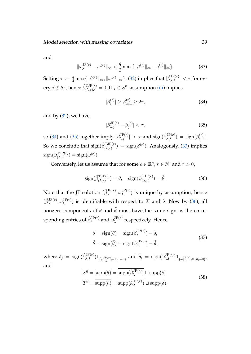<span id="page-38-2"></span>and

$$
\|\hat{\omega}_{\lambda}^{\mathrm{JP}(r)} - \omega^{(r)}\|_{\infty} < \frac{q}{2} \max\{\|\beta^{(r)}\|_{\infty}, \|\omega^{(r)}\|_{\infty}\}.\tag{33}
$$

Setting  $\tau:=\frac{q}{2}\max\{\|\beta^{(r)}\|_\infty,\|\omega^{(r)}\|_\infty\},$  [\(32\)](#page-37-4) implies that  $|\hat{\beta}^{\rm JP(}r)}_{\lambda,j}|<\tau$  for every  $j \notin S^0$ , hence  $\hat{\beta}^{\text{TJP}(r)}_{(\lambda, \tau), j} = 0$ . If  $j \in S^0$ , assumption [\(iii\)](#page-10-2) implies

<span id="page-38-1"></span><span id="page-38-0"></span>
$$
|\beta_j^{(r)}| \ge \beta_{\min}^{(r)} \ge 2\tau,\tag{34}
$$

and by [\(32\)](#page-37-4), we have

<span id="page-38-3"></span>
$$
|\hat{\beta}_{\lambda,j}^{\mathrm{JP}(r)} - \beta_j^{(r)}| < \tau,\tag{35}
$$

so [\(34\)](#page-38-0) and [\(35\)](#page-38-1) together imply  $|\hat{\beta}^{\rm JP(r)}_{\lambda,j}|>\tau$  and  $\textrm{sign}(\hat{\beta}^{\rm JP(r)}_{\lambda,j})=\textrm{sign}(\beta^{(r)}_j)$  $j^{(T)}$ ). So we conclude that  $\text{sign}(\hat{\beta}_{(\lambda,\tau)}^{\text{TJP}(r)}) = \text{sign}(\beta^{(r)})$ . Analogously, [\(33\)](#page-38-2) implies  $sign(\hat{\omega}_{(\lambda|\tau)}^{\text{TJP}(r)}$  $\operatorname{sign}(\omega^{(r)}) = \operatorname{sign}(\omega^{(r)})$ .

Conversely, let us assume that for some  $\epsilon \in \mathbb{R}^n$ ,  $r \in \mathbb{N}^*$  and  $\tau > 0$ ,

$$
\text{sign}(\hat{\beta}_{(\lambda,\tau)}^{\text{TJP}(r)}) = \theta, \quad \text{sign}(\hat{\omega}_{(\lambda,\tau)}^{\text{TJP}(r)}) = \tilde{\theta}.
$$
 (36)

Note that the JP solution  $(\hat{\beta}_{\lambda}^{{\rm JP}(r)}$  $\overset{\text{JP}(r)}{\lambda}, \overset{\sim}{\omega}_{\lambda}^{\text{JP}(r)}$  $\lambda^{J(\mathcal{F}(\mathcal{T}))}$  is unique by assumption, hence  $(\hat{\beta}_{\lambda}^{\mathrm{JP}(r)}$  $\hat{\omega}_{\lambda}^{\mathrm{JP}(r)}, \hat{\omega}_{\lambda}^{\mathrm{JP}(r)}$  $\lambda^{J(P(r))}$  is identifiable with respect to X and  $\lambda$ . Now by [\(36\)](#page-38-3), all nonzero components of  $\theta$  and  $\tilde{\theta}$  must have the same sign as the corresponding entries of  $\hat{\beta}_{\lambda}^{{\rm JP}(r)}$  $\overset{\text{d}}{\text{d}}\mathbf{P}(r)$  and  $\overset{\text{d}}{\omega}_{\lambda}^{\text{JP}(r)}$  $\lambda^{J_{\Gamma}(r)}$  respectively. Hence

<span id="page-38-4"></span>
$$
\theta = \text{sign}(\theta) = \text{sign}(\hat{\beta}_{\lambda}^{\text{JP}(r)}) - \delta,
$$
  
\n
$$
\tilde{\theta} = \text{sign}(\tilde{\theta}) = \text{sign}(\hat{\omega}_{\lambda}^{\text{JP}(r)}) - \tilde{\delta},
$$
\n(37)

<span id="page-38-5"></span>where  $\delta_j = \text{sign}(\hat{\beta}_{\lambda,j}^{\text{JP}(r)}) \mathbf{1}_{\{\hat{\beta}_{\lambda,j}^{\text{JP}(r)}\neq 0,\theta_j=0\}}$  and  $\tilde{\delta}_i = \text{sign}(\hat{\omega}_{\lambda,i}^{\text{JP}(r)}) \mathbf{1}_{\{\hat{\omega}_{\lambda,i}^{\text{JP}(r)}\neq 0,\tilde{\theta}_i=0\}},$ and

$$
\overline{S^0} = \overline{\text{supp}(\theta)} = \text{supp}(\hat{\beta}_{\lambda}^{\text{JP}(r)}) \sqcup \text{supp}(\delta)
$$

$$
\overline{T^0} = \overline{\text{supp}(\tilde{\theta})} = \overline{\text{supp}(\hat{\omega}_{\lambda}^{\text{JP}(r)})} \sqcup \text{supp}(\tilde{\delta}).
$$
(38)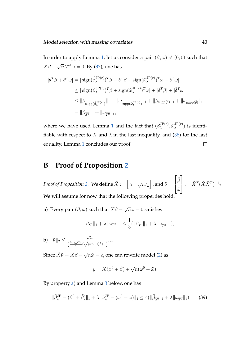In order to apply Lemma [1,](#page-9-0) let us consider a pair  $(\beta, \omega) \neq (0, 0)$  such that  $X\beta +$  $\sqrt{n}\lambda^{-1}\omega = 0$ . By [\(37\)](#page-38-4), one has

$$
|\theta^T \beta + \tilde{\theta}^T \omega| = |\operatorname{sign}(\hat{\beta}_{\lambda}^{\mathrm{JP}(r)})^T \beta - \delta^T \beta + \operatorname{sign}(\hat{\omega}_{\lambda}^{\mathrm{JP}(r)})^T \omega - \tilde{\delta}^T \omega|
$$
  
\n
$$
\leq |\operatorname{sign}(\hat{\beta}_{\lambda}^{\mathrm{JP}(r)})^T \beta + \operatorname{sign}(\hat{\omega}_{\lambda}^{\mathrm{JP}(r)})^T \omega| + |\delta^T \beta| + |\tilde{\delta}^T \omega|
$$
  
\n
$$
\leq ||\beta_{\overline{\operatorname{supp}(\hat{\beta}_{\lambda}^{\mathrm{JP}(r)})}}||_1 + ||\omega_{\overline{\operatorname{supp}(\hat{\omega}_{\lambda}^{\mathrm{JP}(r)})}}||_1 + ||\beta_{\operatorname{supp}(\delta)}||_1 + ||\omega_{\operatorname{supp}(\tilde{\delta})}||_1
$$
  
\n
$$
= ||\beta_{\overline{S^0}}||_1 + ||\omega_{\overline{T^0}}||_1,
$$

where we have used Lemma [1](#page-9-0) and the fact that  $(\hat{\beta}_\lambda^{{\rm JP} (r)}$  $\hat{\omega}_{\lambda}^{\mathrm{JP}(r)}, \hat{\omega}_{\lambda}^{\mathrm{JP}(r)}$  $\binom{J_{\Gamma}(r)}{\lambda}$  is identifiable with respect to X and  $\lambda$  in the last inequality, and [\(38\)](#page-38-5) for the last equality. Lemma [1](#page-9-0) concludes our proof.  $\Box$ 

### <span id="page-39-0"></span>**B Proof of Proposition [2](#page-12-0)**

*Proof of Proposition [2.](#page-12-0)* We define  $\tilde{X} := \begin{bmatrix} X \end{bmatrix}$ √  $\left.\overline{n}I_n\right|$  , and  $\tilde{\nu}=$  $\sqrt{ }$  $\overline{\phantom{a}}$  $\tilde{\beta}$  $\tilde{\omega}$ 1  $\Big| := \tilde{X}^T (\tilde{X} \tilde{X}^T)^{-1} \epsilon.$ We will assume for now that the following properties hold.

<span id="page-39-1"></span>a) Every pair  $(\beta, \omega)$  such that  $X\beta +$ √  $\overline{n}\omega=0$  satisfies

$$
\|\beta_{S^0}\|_1 + \lambda \|\omega_{T^0}\|_1 \le \frac{1}{3}(\|\beta_{\overline{S^0}}\|_1 + \lambda \|\omega_{\overline{T^0}}\|_1),
$$

<span id="page-39-2"></span>b)  $\|\tilde{\nu}\|_2 \leq$  $\sqrt{2}\sigma$  $\frac{\sqrt{2}\sigma}{\left(\frac{\lambda_{\min}(\Sigma)}{4}(\sqrt{p/n}-1)^2+1\right)^{1/2}}.$ 

Since  $\tilde{X}\tilde{\nu} = X\tilde{\beta} + \sqrt{\frac{\tilde{\gamma}^2}{2\tilde{\gamma}^2}}$  $\overline{n}\tilde{\omega}=\epsilon,$  one can rewrite model [\(2\)](#page-2-0) as

$$
y = X(\beta^{0} + \tilde{\beta}) + \sqrt{n}(\omega^{0} + \tilde{\omega}).
$$

By property [a\)](#page-39-1) and Lemma [3](#page-41-0) below, one has

$$
\|\hat{\beta}_{\lambda}^{\text{JP}} - (\beta^0 + \tilde{\beta})\|_1 + \lambda \|\hat{\omega}_{\lambda}^{\text{JP}} - (\omega^0 + \tilde{\omega})\|_1 \le 4(\|\tilde{\beta}_{\overline{S^0}}\|_1 + \lambda \|\tilde{\omega}_{\overline{T^0}}\|_1),\tag{39}
$$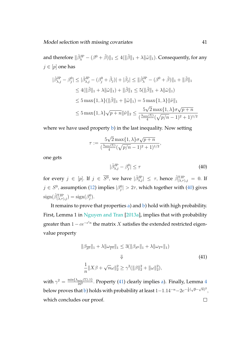and therefore  $\|\hat\beta_\lambda^{\rm JP}-(\beta^0+\tilde\beta)\|_1\leq 4(\|\tilde\beta\|_1+\lambda\|\tilde\omega\|_1).$  Consequently, for any  $j \in [p]$  one has

$$
|\hat{\beta}^{\text{JP}}_{\lambda,j} - \beta^0_j| \leq |\hat{\beta}^{\text{JP}}_{\lambda,j} - (\beta^0_j + \tilde{\beta}_j)| + |\tilde{\beta}_j| \leq ||\hat{\beta}^{\text{JP}}_{\lambda} - (\beta^0 + \tilde{\beta})||_1 + ||\tilde{\beta}||_1
$$
  
\n
$$
\leq 4(||\tilde{\beta}||_1 + \lambda ||\tilde{\omega}||_1) + ||\tilde{\beta}||_1 \leq 5(||\tilde{\beta}||_1 + \lambda ||\tilde{\omega}||_1)
$$
  
\n
$$
\leq 5 \max\{1, \lambda\} (||\tilde{\beta}||_1 + ||\tilde{\omega}||_1) = 5 \max\{1, \lambda\} ||\tilde{\nu}||_1
$$
  
\n
$$
\leq 5 \max\{1, \lambda\} \sqrt{p+n} ||\tilde{\nu}||_2 \leq \frac{5\sqrt{2} \max\{1, \lambda\} \sigma \sqrt{p+n}}{(\frac{\lambda_{\min}(\Sigma)}{4}(\sqrt{p/n} - 1)^2 + 1)^{1/2}}
$$

where we have used property [b\)](#page-39-2) in the last inequality. Now setting

$$
\tau := \frac{5\sqrt{2}\max\{1,\lambda\}\sigma\sqrt{p+n}}{\left(\frac{\lambda_{\min}(\Sigma)}{4}(\sqrt{p/n}-1)^2+1\right)^{1/2}},
$$

<span id="page-40-0"></span>one gets

$$
|\hat{\beta}^{\text{JP}}_{\lambda,j} - \beta^0_j| \le \tau \tag{40}
$$

for every  $j \in [p]$ . If  $j \in \overline{S^0}$ , we have  $|\hat{\beta}^{\text{JP}}_{\lambda,j}| \leq \tau$ , hence  $\hat{\beta}^{\text{TJP}}_{(\lambda,\tau),j} = 0$ . If  $j \in S^0$ , assumption [\(12\)](#page-12-1) implies  $|\beta_j^0| > 2\tau$ , which together with [\(40\)](#page-40-0) gives  $sign(\hat{\beta}_{(\lambda,\tau),j}^{TJP}) = sign(\beta_j^0).$ 

It remains to prove that properties [a\)](#page-39-1) and [b\)](#page-39-2) hold with high probability. First, Lemma 1 in [Nguyen and Tran](#page-31-3) [\[2013a\]](#page-31-3), implies that with probability greater than  $1 - ce^{-c'n}$  the matrix  $X$  satisfies the extended restricted eigenvalue property

<span id="page-40-1"></span>
$$
\|\beta_{\overline{S^0}}\|_1 + \lambda \|\omega_{\overline{T^0}}\|_1 \le 3(\|\beta_{S^0}\|_1 + \lambda \|\omega_{T^0}\|_1)
$$
  

$$
\Downarrow
$$
  

$$
\frac{1}{n} \|X\beta + \sqrt{n}\omega\|_2^2 \ge \gamma^2 (\|\beta\|_2^2 + \|\omega\|_2^2),
$$
 (41)

with  $\gamma^2 = \frac{\min\{\lambda_{\min}(\Sigma), 1\}}{16^2}$  $\frac{\min\{2\},1}{16^2}$ . Property [\(41\)](#page-40-1) clearly implies [a\)](#page-39-1). Finally, Lemma [4](#page-42-0) below proves that  $\mathrm b)$  $\mathrm b)$  holds with probability at least  $1{-}1.14^{-n}{-}2e^{-\frac{1}{8}(\sqrt p{-}\sqrt n)^2},$ which concludes our proof. $\Box$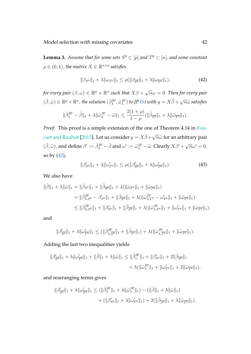<span id="page-41-0"></span>**Lemma 3.** Assume that for some sets  $S^0 \subset [p]$  and  $T^0 \subset [n]$ , and some constant  $\rho \in (0, 1)$ , the matrix  $X \in \mathbb{R}^{n \times p}$  satisfies

<span id="page-41-1"></span>
$$
\|\beta_{S^0}\|_1 + \lambda \|\omega_{T^0}\|_1 \le \rho(\|\beta_{\overline{S^0}}\|_1 + \lambda \|\omega_{\overline{T^0}}\|_1),\tag{42}
$$

*for every pair*  $(\beta, \omega) \in \mathbb{R}^p \times \mathbb{R}^n$  such that  $X\beta$  + √  $\overline{n}\omega=0.$  Then for every pair  $(\tilde{\beta}, \tilde{\omega}) \in \mathbb{R}^p \times \mathbb{R}^n$ , the solution  $(\hat{\beta}_{\lambda}^{\text{JP}}, \hat{\omega}_{\lambda}^{\text{JP}})$  to JP [\(6\)](#page-6-0) with  $y = X\tilde{\beta} + \sqrt{\frac{\lambda^2}{n}}$  $\overline{n}\tilde{\omega}$  satisfies

$$
\|\hat{\beta}_{\lambda}^{\mathrm{JP}}-\tilde{\beta}\|_1+\lambda\|\hat{\omega}_{\lambda}^{\mathrm{JP}}-\tilde{\omega}\|_1\leq \frac{2(1+\rho)}{1-\rho}(\|\tilde{\beta}_{\overline{S^0}}\|_1+\lambda\|\tilde{\omega}_{\overline{T^0}}\|_1).
$$

*Proof.* This proof is a simple extension of the one of Theorem 4.14 in [Fou](#page-30-5)[cart and Rauhut](#page-30-5) [\[2013\]](#page-30-5). Let us consider  $y = X \tilde{\beta} + \sqrt{2}$  $\overline{n}\tilde{\omega}$  for an arbitrary pair  $(\tilde{\beta}, \tilde{\omega})$ , and define  $\beta' := \hat{\beta}_{\lambda}^{\text{JP}} - \tilde{\beta}$  and  $\omega' := \hat{\omega}_{\lambda}^{\text{JP}} - \tilde{\omega}$ . Clearly  $X\beta' + \sqrt{n}\omega' = 0$ , so by [\(42\)](#page-41-1),

<span id="page-41-2"></span>
$$
\|\beta'_{S^0}\|_1 + \lambda \|\omega'_{T^0}\|_1 \le \rho(\|\beta'_{\overline{S^0}}\|_1 + \lambda \|\omega'_{\overline{T^0}}\|_1). \tag{43}
$$

We also have

$$
\begin{split} \|\tilde{\beta}\|_{1} + \lambda \|\tilde{\omega}\|_{1} &= \|\tilde{\beta}_{S^{0}}\|_{1} + \|\tilde{\beta}_{\overline{S^{0}}}\|_{1} + \lambda (\|\tilde{\omega}_{T^{0}}\|_{1} + \|\tilde{\omega}_{\overline{T^{0}}}\|_{1}) \\ &= \|\hat{\beta}_{\lambda,S^{0}}^{\text{JP}} - \beta_{S^{0}}'\|_{1} + \|\tilde{\beta}_{\overline{S^{0}}}\|_{1} + \lambda (\|\hat{\omega}_{\lambda,T^{0}}^{\text{JP}} - \omega_{T^{0}}'\|_{1} + \|\tilde{\omega}_{\overline{T^{0}}}\|_{1}) \\ &\leq \|\hat{\beta}_{\lambda,S^{0}}^{\text{JP}}\|_{1} + \|\beta_{S^{0}}'\|_{1} + \|\tilde{\beta}_{\overline{S^{0}}}\|_{1} + \lambda (\|\hat{\omega}_{\lambda,T^{0}}^{\text{JP}}\|_{1} + \|\omega_{T^{0}}'\|_{1} + \|\tilde{\omega}_{\overline{T^{0}}}\|_{1}), \end{split}
$$

and

$$
\|\beta'_{\overline{S^0}}\|_1 + \lambda \|\omega'_{\overline{T^0}}\|_1 \le (\|\hat{\beta}_{\lambda,\overline{S^0}}^{3P}\|_1 + \|\tilde{\beta}_{\overline{S^0}}\|_1) + \lambda (\|\hat{\omega}_{\lambda,\overline{T^0}}^{3P}\|_1 + \|\tilde{\omega}_{\overline{T^0}}\|_1).
$$

Adding the last two inequalities yields

$$
\|\beta'_{\overline{S^0}}\|_1 + \lambda \|\omega'_{\overline{T^0}}\|_1 + \|\tilde{\beta}\|_1 + \lambda \|\tilde{\omega}\|_1 \le \|\hat{\beta}_{\lambda}^{\text{JP}}\|_1 + \|\beta'_{S^0}\|_1 + 2\|\tilde{\beta}_{\overline{S^0}}\|_1 + \lambda \|\tilde{\omega}_{\overline{T^0}}\|_1 + \lambda \|\tilde{\omega}_{\lambda}^{\text{JP}}\|_1 + \|\omega'_{T^0}\|_1 + 2\|\tilde{\omega}_{\overline{T^0}}\|_1),
$$

and rearranging terms gives

$$
\begin{aligned} \|\beta_{\overline{S^0}}'\|_1 + \lambda \|\omega_{\overline{T^0}}'\|_1 &\leq (\|\hat{\beta}_{\lambda}^{\mathrm{JP}}\|_1 + \lambda \|\hat{\omega}_{\lambda}^{\mathrm{JP}}\|_1) - (\|\tilde{\beta}\|_1 + \lambda \|\tilde{\omega}\|_1) \\ &+ (\|\beta_{S^0}'\|_1 + \lambda \|\omega_{T^0}'\|_1) + 2(\|\tilde{\beta}_{\overline{S^0}}\|_1 + \lambda \|\tilde{\omega}_{\overline{T^0}}\|_1). \end{aligned}
$$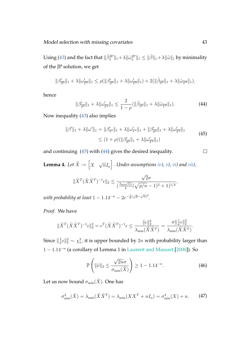Using [\(43\)](#page-41-2) and the fact that  $\|\hat\beta_\lambda^{\rm JP}\|_1+\lambda\|\hat\omega_\lambda^{\rm JP}\|_1\leq \|\tilde\beta\|_1+\lambda\|\tilde\omega\|_1$  by minimality of the JP solution, we get

<span id="page-42-2"></span>
$$
\|\beta_{\overline{S^0}}'\|_1 + \lambda \|\omega_{\overline{T^0}}'\|_1 \le \rho(\|\beta_{\overline{S^0}}'\|_1 + \lambda \|\omega_{\overline{T^0}}'\|_1) + 2(\|\tilde{\beta}_{\overline{S^0}}\|_1 + \lambda \|\tilde{\omega}_{\overline{T^0}}\|_1),
$$

hence

<span id="page-42-1"></span>
$$
\|\beta'_{\overline{S^0}}\|_1 + \lambda \|\omega'_{\overline{T^0}}\|_1 \le \frac{2}{1-\rho} (\|\tilde{\beta}_{\overline{S^0}}\|_1 + \lambda \|\tilde{\omega}_{\overline{T^0}}\|_1). \tag{44}
$$

Now inequality [\(43\)](#page-41-2) also implies

$$
\|\beta'\|_1 + \lambda \|\omega'\|_1 = \|\beta'_{S^0}\|_1 + \lambda \|\omega'_{T^0}\|_1 + \|\beta'_{\overline{S^0}}\|_1 + \lambda \|\omega'_{\overline{T^0}}\|_1
$$
  
\n
$$
\leq (1+\rho)(\|\beta'_{\overline{S^0}}\|_1 + \lambda \|\omega'_{\overline{T^0}}\|_1)
$$
\n(45)

and continuing [\(45\)](#page-42-1) with [\(44\)](#page-42-2) gives the desired inequality.

<span id="page-42-4"></span> $\Box$ 

<span id="page-42-0"></span>**Lemma 4.** Let  $\tilde{X} := \begin{bmatrix} X \end{bmatrix}$ √  $[\overline{n}I_n]$  . Under assumptions  $i\mathfrak{v}$ ),  $\mathfrak{v}$ ),  $\mathfrak{v}i$ ) and  $vii$ ),

$$
\|\tilde{X}^T(\tilde{X}\tilde{X}^T)^{-1}\epsilon\|_2 \le \frac{\sqrt{2}\sigma}{(\frac{\lambda_{\min}(\Sigma)}{4}(\sqrt{p/n}-1)^2+1)^{1/2}},
$$

with probability at least  $1-1.14^{-n}-2e^{-\frac{1}{8}(\sqrt{p}-\sqrt{n})^2}.$ 

*Proof.* We have

$$
\|\tilde{X}^T(\tilde{X}\tilde{X}^T)^{-1}\epsilon\|_2^2 = \epsilon^T(\tilde{X}\tilde{X}^T)^{-1}\epsilon \le \frac{\|\epsilon\|_2^2}{\lambda_{\min}(\tilde{X}\tilde{X}^T)} = \frac{\sigma\|\frac{1}{\sigma}\epsilon\|_2^2}{\lambda_{\min}(\tilde{X}\tilde{X}^T)}.
$$

Since  $\|\frac{1}{\sigma}\|$  $\frac{1}{\sigma} \epsilon \|_2^2 \sim \chi_n^2$ , it is upper bounded by  $2n$  with probability larger than 1 − 1.14<sup>−</sup><sup>n</sup> (a corollary of Lemma 1 in [Laurent and Massart](#page-30-6) [\[2000\]](#page-30-6)). So

<span id="page-42-3"></span>
$$
\mathbb{P}\left(\|\tilde{\nu}\|_2 \le \frac{\sqrt{2n}\sigma}{\sigma_{\min}(\tilde{X})}\right) \ge 1 - 1.14^{-n}.\tag{46}
$$

Let us now bound  $\sigma_{\min}(\tilde{X})$ . One has

$$
\sigma_{\min}^2(\tilde{X}) = \lambda_{\min}(\tilde{X}\tilde{X}^T) = \lambda_{\min}(XX^T + nI_n) = \sigma_{\min}^2(X) + n. \tag{47}
$$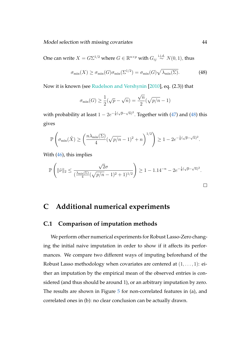Model selection with missing covariates 44

One can write  $X = G\Sigma^{1/2}$  where  $G \in \mathbb{R}^{n \times p}$  with  $G_{ij} \stackrel{\text{i.i.d.}}{\sim} N(0,1)$ , thus

$$
\sigma_{\min}(X) \ge \sigma_{\min}(G)\sigma_{\min}(\Sigma^{1/2}) = \sigma_{\min}(G)\sqrt{\lambda_{\min}(\Sigma)}.
$$
 (48)

Now it is known (see [Rudelson and Vershynin](#page-32-7) [\[2010\]](#page-32-7), eq. (2.3)) that

<span id="page-43-1"></span>
$$
\sigma_{\min}(G) \ge \frac{1}{2}(\sqrt{p} - \sqrt{n}) = \frac{\sqrt{n}}{2}(\sqrt{p/n} - 1)
$$

with probability at least  $1-2e^{-\frac{1}{8}(\sqrt{p}-\sqrt{n})^2}.$  Together with [\(47\)](#page-42-3) and [\(48\)](#page-43-1) this gives

$$
\mathbb{P}\left(\sigma_{\min}(\tilde{X}) \ge \left(\frac{n\lambda_{\min}(\Sigma)}{4}(\sqrt{p/n}-1)^2+n\right)^{1/2}\right) \ge 1-2e^{-\frac{1}{8}(\sqrt{p}-\sqrt{n})^2}.
$$

With  $(46)$ , this implies

$$
\mathbb{P}\left(\|\tilde{\nu}\|_2 \leq \frac{\sqrt{2}\sigma}{(\frac{\lambda_{\min}(\Sigma)}{4}(\sqrt{p/n}-1)^2+1)^{1/2}}\right) \geq 1-1.14^{-n}-2e^{-\frac{1}{8}(\sqrt{p}-\sqrt{n})^2}.
$$

### **C Additional numerical experiments**

### <span id="page-43-0"></span>**C.1 Comparison of imputation methods**

We perform other numerical experiments for Robust Lasso-Zero changing the initial naive imputation in order to show if it affects its performances. We compare two different ways of imputing beforehand of the Robust Lasso methodology when covariates are centered at  $(1, \ldots, 1)$ : either an imputation by the empirical mean of the observed entries is considered (and thus should be around 1), or an arbitrary imputation by zero. The results are shown in Figure  $5$  for non-correlated features in (a), and correlated ones in (b): no clear conclusion can be actually drawn.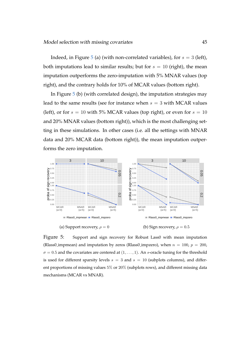Indeed, in Figure [5](#page-44-0) (a) (with non-correlated variables), for  $s = 3$  (left), both imputations lead to similar results; but for  $s = 10$  (right), the mean imputation outperforms the zero-imputation with 5% MNAR values (top right), and the contrary holds for 10% of MCAR values (bottom right).

In Figure [5](#page-44-0) (b) (with correlated design), the imputation strategies may lead to the same results (see for instance when  $s = 3$  with MCAR values (left), or for  $s = 10$  with 5% MCAR values (top right), or even for  $s = 10$ and 20% MNAR values (bottom right)), which is the most challenging setting in these simulations. In other cases (i.e. all the settings with MNAR data and 20% MCAR data (bottom right)), the mean imputation outperforms the zero imputation.



<span id="page-44-0"></span>Figure 5: Support and sign recovery for Robust Lass0 with mean imputation (Rlass0\_impmean) and imputation by zeros (Rlass0\_impzero), when  $n = 100$ ,  $p = 200$ ,  $\sigma = 0.5$  and the covariates are centered at  $(1, \ldots, 1)$ . An s-oracle tuning for the threshold is used for different sparsity levels  $s = 3$  and  $s = 10$  (subplots columns), and different proportions of missing values 5% or 20% (subplots rows), and different missing data mechanisms (MCAR vs MNAR).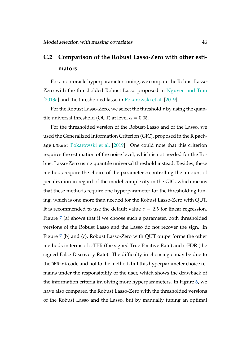### <span id="page-45-0"></span>**C.2 Comparison of the Robust Lasso-Zero with other estimators**

For a non-oracle hyperparameter tuning, we compare the Robust Lasso-Zero with the thresholded Robust Lasso proposed in [Nguyen and Tran](#page-31-3) [\[2013a\]](#page-31-3) and the thresholded lasso in [Pokarowski et al.](#page-31-6) [\[2019\]](#page-31-6).

For the Robust Lasso-Zero, we select the threshold  $\tau$  by using the quantile universal threshold (OUT) at level  $\alpha = 0.05$ .

For the thresholded version of the Robust-Lasso and of the Lasso, we used the Generalized Information Criterion (GIC), proposed in the R package DMRnet [Pokarowski et al.](#page-31-6) [\[2019\]](#page-31-6). One could note that this criterion requires the estimation of the noise level, which is not needed for the Robust Lasso-Zero using quantile universal threshold instead. Besides, these methods require the choice of the parameter  $c$  controlling the amount of penalization in regard of the model complexity in the GIC, which means that these methods require one hyperparameter for the thresholding tuning, which is one more than needed for the Robust Lasso-Zero with QUT. It is recommended to use the default value  $c = 2.5$  for linear regression. Figure [7](#page-48-1) (a) shows that if we choose such a parameter, both thresholded versions of the Robust Lasso and the Lasso do not recover the sign. In Figure [7](#page-48-1) (b) and (c), Robust Lasso-Zero with QUT outperforms the other methods in terms of s-TPR (the signed True Positive Rate) and s-FDR (the signed False Discovery Rate). The difficulty in choosing  $c$  may be due to the DMRnet code and not to the method, but this hyperparameter choice remains under the responsibility of the user, which shows the drawback of the information criteria involving more hyperparameters. In Figure [6,](#page-47-0) we have also compared the Robust Lasso-Zero with the thresholded versions of the Robust Lasso and the Lasso, but by manually tuning an optimal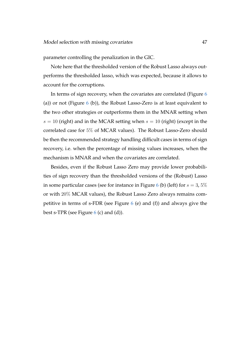parameter controlling the penalization in the GIC.

Note here that the thresholded version of the Robust Lasso always outperforms the thresholded lasso, which was expected, because it allows to account for the corruptions.

In terms of sign recovery, when the covariates are correlated (Figure [6](#page-47-0) (a)) or not (Figure  $6$  (b)), the Robust Lasso-Zero is at least equivalent to the two other strategies or outperforms them in the MNAR setting when  $s = 10$  (right) and in the MCAR setting when  $s = 10$  (right) (except in the correlated case for 5% of MCAR values). The Robust Lasso-Zero should be then the recommended strategy handling difficult cases in terms of sign recovery, i.e. when the percentage of missing values increases, when the mechanism is MNAR and when the covariates are correlated.

Besides, even if the Robust Lasso Zero may provide lower probabilities of sign recovery than the thresholded versions of the (Robust) Lasso in some particular cases (see for instance in Figure [6](#page-47-0) (b) (left) for  $s = 3,5\%$ or with 20% MCAR values), the Robust Lasso Zero always remains competitive in terms of s-FDR (see Figure [6](#page-47-0) (e) and (f)) and always give the best s-TPR (see Figure  $6$  (c) and (d)).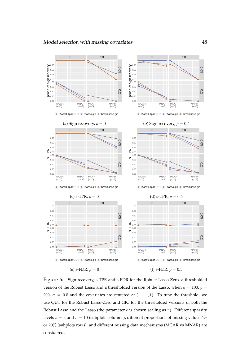

<span id="page-47-0"></span>Figure 6: Sign recovery, s-TPR and s-FDR for the Robust Lasso-Zero, a thresholded version of the Robust Lasso and a thresholded version of the Lasso, when  $n = 100$ ,  $p =$ 200,  $\sigma = 0.5$  and the covariates are centered at  $(1, \ldots, 1)$ . To tune the threshold, we use QUT for the Robust Lasso-Zero and GIC for the thresholded versions of both the Robust Lasso and the Lasso (the parameter  $c$  is chosen scaling as  $n$ ). Different sparsity levels  $s = 3$  and  $s = 10$  (subplots columns), different proportions of missing values 5% or 20% (subplots rows), and different missing data mechanisms (MCAR vs MNAR) are considered.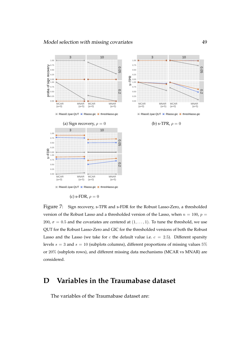

<span id="page-48-1"></span>(c) s-FDR,  $\rho = 0$ 

Figure 7: Sign recovery, s-TPR and s-FDR for the Robust Lasso-Zero, a thresholded version of the Robust Lasso and a thresholded version of the Lasso, when  $n = 100$ ,  $p =$ 200,  $\sigma = 0.5$  and the covariates are centered at  $(1, \ldots, 1)$ . To tune the threshold, we use QUT for the Robust Lasso-Zero and GIC for the thresholded versions of both the Robust Lasso and the Lasso (we take for c the default value i.e.  $c = 2.5$ ). Different sparsity levels  $s = 3$  and  $s = 10$  (subplots columns), different proportions of missing values 5% or 20% (subplots rows), and different missing data mechanisms (MCAR vs MNAR) are considered.

### <span id="page-48-0"></span>**D Variables in the Traumabase dataset**

The variables of the Traumabase dataset are: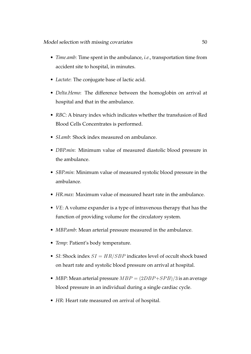- *Time.amb*: Time spent in the ambulance, *i.e.*, transportation time from accident site to hospital, in minutes.
- *Lactate*: The conjugate base of lactic acid.
- *Delta.Hemo*: The difference between the homoglobin on arrival at hospital and that in the ambulance.
- *RBC*: A binary index which indicates whether the transfusion of Red Blood Cells Concentrates is performed.
- *SI.amb*: Shock index measured on ambulance.
- *DBP.min*: Minimum value of measured diastolic blood pressure in the ambulance.
- *SBP.min*: Minimum value of measured systolic blood pressure in the ambulance.
- *HR.max*: Maximum value of measured heart rate in the ambulance.
- *VE*: A volume expander is a type of intravenous therapy that has the function of providing volume for the circulatory system.
- *MBP.amb*: Mean arterial pressure measured in the ambulance.
- *Temp*: Patient's body temperature.
- *SI*: Shock index  $SI = HR/SBP$  indicates level of occult shock based on heart rate and systolic blood pressure on arrival at hospital.
- *MBP*: Mean arterial pressure  $MBP = (2DBP + SPB)/3$  is an average blood pressure in an individual during a single cardiac cycle.
- *HR*: Heart rate measured on arrival of hospital.